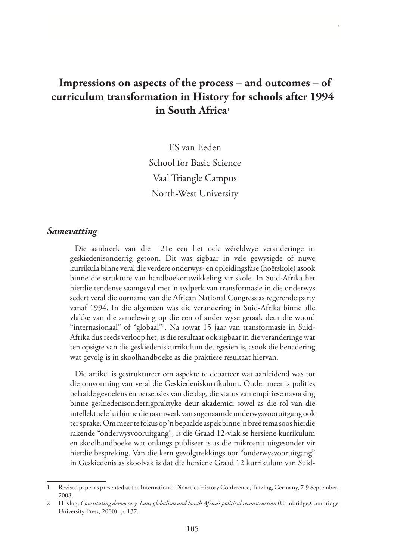# **Impressions on aspects of the process – and outcomes – of curriculum transformation in History for schools after 1994 in South Africa**<sup>1</sup>

ES van Eeden School for Basic Science Vaal Triangle Campus North-West University

#### *Samevatting*

Die aanbreek van die 21e eeu het ook wêreldwye veranderinge in geskiedenisonderrig getoon. Dit was sigbaar in vele gewysigde of nuwe kurrikula binne veral die verdere onderwys- en opleidingsfase (hoërskole) asook binne die strukture van handboekontwikkeling vir skole. In Suid-Afrika het hierdie tendense saamgeval met 'n tydperk van transformasie in die onderwys sedert veral die oorname van die African National Congress as regerende party vanaf 1994. In die algemeen was die verandering in Suid-Afrika binne alle vlakke van die samelewing op die een of ander wyse geraak deur die woord "internasionaal" of "globaal"2 . Na sowat 15 jaar van transformasie in Suid-Afrika dus reeds verloop het, is die resultaat ook sigbaar in die veranderinge wat ten opsigte van die geskiedeniskurrikulum deurgesien is, asook die benadering wat gevolg is in skoolhandboeke as die praktiese resultaat hiervan.

Die artikel is gestruktureer om aspekte te debatteer wat aanleidend was tot die omvorming van veral die Geskiedeniskurrikulum. Onder meer is polities belaaide gevoelens en persepsies van die dag, die status van empiriese navorsing binne geskiedenisonderrigpraktyke deur akademici sowel as die rol van die intellektuele lui binne die raamwerk van sogenaamde onderwysvooruitgang ook ter sprake. Om meer te fokus op 'n bepaalde aspek binne 'n breë tema soos hierdie rakende "onderwysvooruitgang", is die Graad 12-vlak se hersiene kurrikulum en skoolhandboeke wat onlangs publiseer is as die mikrosnit uitgesonder vir hierdie bespreking. Van die kern gevolgtrekkings oor "onderwysvooruitgang" in Geskiedenis as skoolvak is dat die hersiene Graad 12 kurrikulum van Suid-

<sup>1</sup> Revised paper as presented at the International Didactics History Conference, Tutzing, Germany, 7-9 September, 2008.

<sup>2</sup> H Klug, *Constituting democracy. Law, globalism and South Africa's political reconstruction* (Cambridge,Cambridge University Press, 2000), p. 137.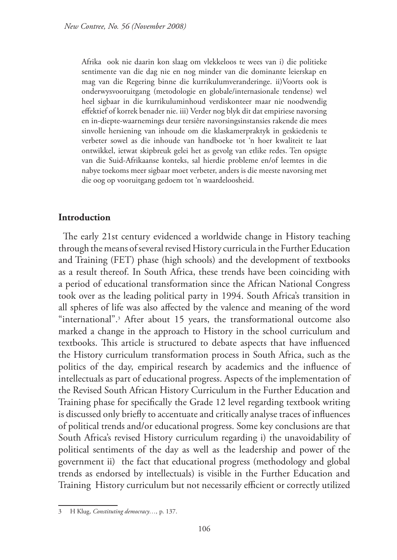Afrika ook nie daarin kon slaag om vlekkeloos te wees van i) die politieke sentimente van die dag nie en nog minder van die dominante leierskap en mag van die Regering binne die kurrikulumveranderinge. ii)Voorts ook is onderwysvooruitgang (metodologie en globale/internasionale tendense) wel heel sigbaar in die kurrikuluminhoud verdiskonteer maar nie noodwendig effektief of korrek benader nie. iii) Verder nog blyk dit dat empiriese navorsing en in-diepte-waarnemings deur tersiêre navorsingsinstansies rakende die mees sinvolle hersiening van inhoude om die klaskamerpraktyk in geskiedenis te verbeter sowel as die inhoude van handboeke tot 'n hoer kwaliteit te laat ontwikkel, ietwat skipbreuk gelei het as gevolg van etlike redes. Ten opsigte van die Suid-Afrikaanse konteks, sal hierdie probleme en/of leemtes in die nabye toekoms meer sigbaar moet verbeter, anders is die meeste navorsing met die oog op vooruitgang gedoem tot 'n waardeloosheid.

#### **Introduction**

The early 21st century evidenced a worldwide change in History teaching through the means of several revised History curricula in the Further Education and Training (FET) phase (high schools) and the development of textbooks as a result thereof. In South Africa, these trends have been coinciding with a period of educational transformation since the African National Congress took over as the leading political party in 1994. South Africa's transition in all spheres of life was also affected by the valence and meaning of the word "international".3 After about 15 years, the transformational outcome also marked a change in the approach to History in the school curriculum and textbooks. This article is structured to debate aspects that have influenced the History curriculum transformation process in South Africa, such as the politics of the day, empirical research by academics and the influence of intellectuals as part of educational progress. Aspects of the implementation of the Revised South African History Curriculum in the Further Education and Training phase for specifically the Grade 12 level regarding textbook writing is discussed only briefly to accentuate and critically analyse traces of influences of political trends and/or educational progress. Some key conclusions are that South Africa's revised History curriculum regarding i) the unavoidability of political sentiments of the day as well as the leadership and power of the government ii) the fact that educational progress (methodology and global trends as endorsed by intellectuals) is visible in the Further Education and Training History curriculum but not necessarily efficient or correctly utilized

<sup>3</sup> H Klug, *Constituting democracy…,* p. 137.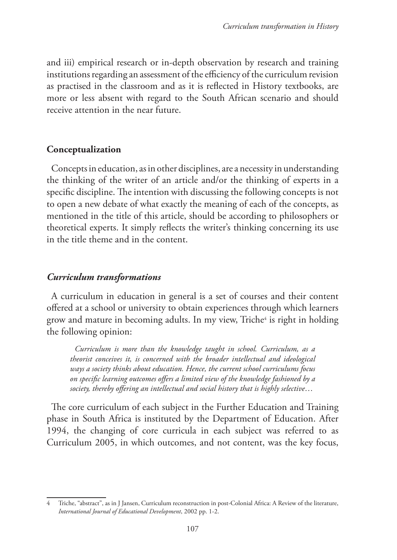and iii) empirical research or in-depth observation by research and training institutions regarding an assessment of the efficiency of the curriculum revision as practised in the classroom and as it is reflected in History textbooks, are more or less absent with regard to the South African scenario and should receive attention in the near future.

### **Conceptualization**

Concepts in education, as in other disciplines, are a necessity in understanding the thinking of the writer of an article and/or the thinking of experts in a specific discipline. The intention with discussing the following concepts is not to open a new debate of what exactly the meaning of each of the concepts, as mentioned in the title of this article, should be according to philosophers or theoretical experts. It simply reflects the writer's thinking concerning its use in the title theme and in the content.

## *Curriculum transformations*

A curriculum in education in general is a set of courses and their content offered at a school or university to obtain experiences through which learners grow and mature in becoming adults. In my view, Triche<sup>4</sup> is right in holding the following opinion:

*Curriculum is more than the knowledge taught in school. Curriculum, as a theorist conceives it, is concerned with the broader intellectual and ideological ways a society thinks about education. Hence, the current school curriculums focus on specific learning outcomes offers a limited view of the knowledge fashioned by a society, thereby offering an intellectual and social history that is highly selective*…

The core curriculum of each subject in the Further Education and Training phase in South Africa is instituted by the Department of Education. After 1994, the changing of core curricula in each subject was referred to as Curriculum 2005, in which outcomes, and not content, was the key focus,

<sup>4</sup> Triche, "abstract", as in J Jansen, Curriculum reconstruction in post-Colonial Africa: A Review of the literature, *International Journal of Educational Development*, 2002 pp. 1-2.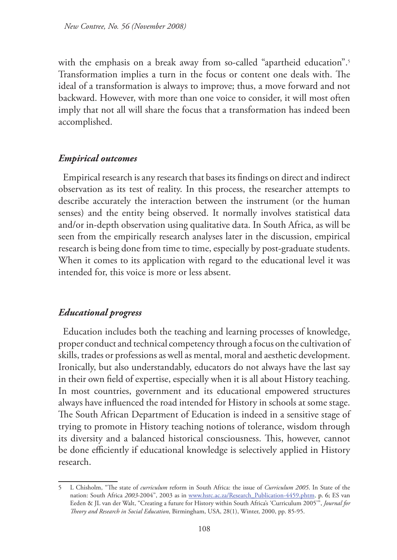with the emphasis on a break away from so-called "apartheid education".<sup>5</sup> Transformation implies a turn in the focus or content one deals with. The ideal of a transformation is always to improve; thus, a move forward and not backward. However, with more than one voice to consider, it will most often imply that not all will share the focus that a transformation has indeed been accomplished.

### *Empirical outcomes*

Empirical research is any research that bases its findings on direct and indirect observation as its test of reality. In this process, the researcher attempts to describe accurately the interaction between the instrument (or the human senses) and the entity being observed. It normally involves statistical data and/or in-depth observation using qualitative data. In South Africa, as will be seen from the empirically research analyses later in the discussion, empirical research is being done from time to time, especially by post-graduate students. When it comes to its application with regard to the educational level it was intended for, this voice is more or less absent.

### *Educational progress*

Education includes both the teaching and learning processes of knowledge, proper conduct and technical competency through a focus on the cultivation of skills, trades or professions as well as mental, moral and aesthetic development. Ironically, but also understandably, educators do not always have the last say in their own field of expertise, especially when it is all about History teaching. In most countries, government and its educational empowered structures always have influenced the road intended for History in schools at some stage. The South African Department of Education is indeed in a sensitive stage of trying to promote in History teaching notions of tolerance, wisdom through its diversity and a balanced historical consciousness. This, however, cannot be done efficiently if educational knowledge is selectively applied in History research.

<sup>5</sup> L Chisholm, "The state of *curriculum* reform in South Africa: the issue of *Curriculum 2005*. In State of the nation: South Africa *2003*-2004", 2003 as in www.hsrc.ac.za/Research\_Publication-4459.phtm, p. 6; ES van Eeden & JL van der Walt, "Creating a future for History within South Africa's 'Curriculum 2005'", *Journal for Theory and Research in Social Education*, Birmingham, USA, 28(1), Winter, 2000, pp. 85-95.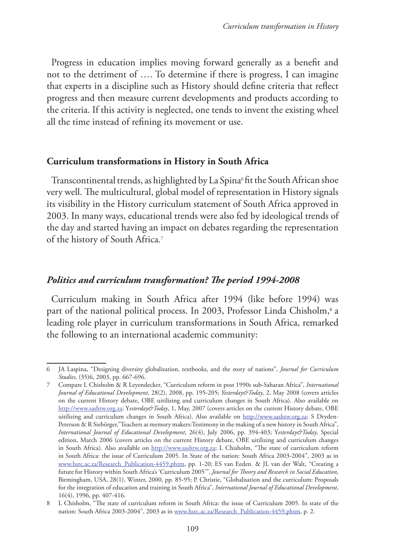Progress in education implies moving forward generally as a benefit and not to the detriment of …. To determine if there is progress, I can imagine that experts in a discipline such as History should define criteria that reflect progress and then measure current developments and products according to the criteria. If this activity is neglected, one tends to invent the existing wheel all the time instead of refining its movement or use.

### **Curriculum transformations in History in South Africa**

Transcontinental trends, as highlighted by La Spina6fit the South African shoe very well. The multicultural, global model of representation in History signals its visibility in the History curriculum statement of South Africa approved in 2003. In many ways, educational trends were also fed by ideological trends of the day and started having an impact on debates regarding the representation of the history of South Africa.7

## *Politics and curriculum transformation? The period 1994-2008*

Curriculum making in South Africa after 1994 (like before 1994) was part of the national political process. In 2003, Professor Linda Chisholm,<sup>8</sup> a leading role player in curriculum transformations in South Africa, remarked the following to an international academic community:

<sup>6</sup> JA Laspina, "Designing diversity globalization, textbooks, and the story of nations", *Journal for Curriculum Studies*, (35)6, 2003, pp. 667-696.

<sup>7</sup> Compare L Chisholm & R Leyendecker, "Curriculum reform in post 1990s sub-Saharan Africa", *International Journal of Educational Development*, 28(2), 2008, pp. 195-205; *Yesterday&Today*, 2, May 2008 (covers articles on the current History debate, OBE uitilizing and curriculum changes in South Africa). Also available on http://www.sashtw.org.za; Y*esterday&Today*, 1, May, 2007 (covers articles on the current History debate, OBE uitilizing and curriculum changes in South Africa). Also available on http://www.sashtw.org.za; S Dryden-Peterson & R Siebörger,"Teachers as memory makers:Testimony in the making of a new history in South Africa", *International Journal of Educational Development*, 26(4), July 2006, pp. 394-403; Y*esterday&Today*, Special edition, March 2006 (covers articles on the current History debate, OBE uitilizing and curriculum changes in South Africa). Also available on http://www.sashtw.org.za; L Chisholm, "The state of curriculum reform in South Africa: the issue of Curriculum 2005. In State of the nation: South Africa 2003-2004", 2003 as in www.hsrc.ac.za/Research\_Publication-4459.phtm, pp. 1-20; ES van Eeden. & JL van der Walt, "Creating a future for History within South Africa's 'Curriculum 2005'", *Journal for Theory and Research in Social Education*, Birmingham, USA, 28(1), Winter, 2000, pp. 85-95; P. Christie, "Globalisation and the curriculum: Proposals for the integration of education and training in South Africa", *International Journal of Educational Development*, 16(4), 1996, pp. 407-416.

<sup>8</sup> L Chisholm, "The state of curriculum reform in South Africa: the issue of Curriculum 2005. In state of the nation: South Africa 2003-2004", 2003 as in www.hsrc.ac.za/Research\_Publication-4459.phtm, p. 2.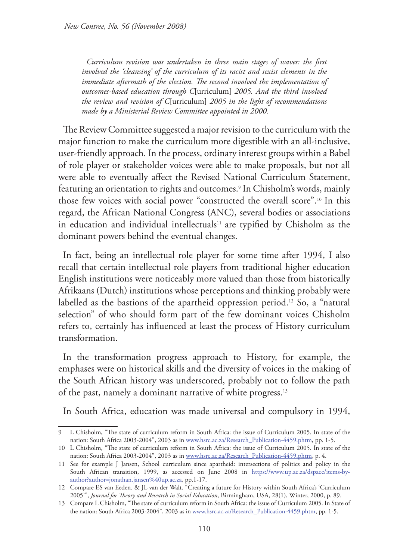*Curriculum revision was undertaken in three main stages of waves: the first involved the 'cleansing' of the curriculum of its racist and sexist elements in the*  immediate aftermath of the election. The second involved the implementation of *outcomes-based education through C*[urriculum] *2005. And the third involved the review and revision of C*[urriculum] *2005 in the light of recommendations made by a Ministerial Review Committee appointed in 2000.* 

The Review Committee suggested a major revision to the curriculum with the major function to make the curriculum more digestible with an all-inclusive, user-friendly approach. In the process, ordinary interest groups within a Babel of role player or stakeholder voices were able to make proposals, but not all were able to eventually affect the Revised National Curriculum Statement, featuring an orientation to rights and outcomes.9 In Chisholm's words, mainly those few voices with social power "constructed the overall score".10 In this regard, the African National Congress (ANC), several bodies or associations in education and individual intellectuals<sup>11</sup> are typified by Chisholm as the dominant powers behind the eventual changes.

In fact, being an intellectual role player for some time after 1994, I also recall that certain intellectual role players from traditional higher education English institutions were noticeably more valued than those from historically Afrikaans (Dutch) institutions whose perceptions and thinking probably were labelled as the bastions of the apartheid oppression period.<sup>12</sup> So, a "natural selection" of who should form part of the few dominant voices Chisholm refers to, certainly has influenced at least the process of History curriculum transformation.

In the transformation progress approach to History, for example, the emphases were on historical skills and the diversity of voices in the making of the South African history was underscored, probably not to follow the path of the past, namely a dominant narrative of white progress.<sup>13</sup>

In South Africa, education was made universal and compulsory in 1994,

<sup>9</sup> L Chisholm, "The state of curriculum reform in South Africa: the issue of Curriculum 2005. In state of the nation: South Africa 2003-2004", 2003 as in www.hsrc.ac.za/Research\_Publication-4459.phtm, pp. 1-5.

<sup>10</sup> L Chisholm, "The state of curriculum reform in South Africa: the issue of Curriculum 2005. In state of the nation: South Africa 2003-2004", 2003 as in www.hsrc.ac.za/Research\_Publication-4459.phtm, p. 4.

<sup>11</sup> See for example J Jansen, School curriculum since apartheid: intersections of politics and policy in the South African transition, 1999, as accessed on June 2008 in https://www.up.ac.za/dspace/items-byauthor?author=jonathan.jansen%40up.ac.za, pp.1-17.

<sup>12</sup> Compare ES van Eeden. & JL van der Walt, "Creating a future for History within South Africa's 'Curriculum 2005'", *Journal for Theory and Research in Social Education*, Birmingham, USA, 28(1), Winter, 2000, p. 89.

<sup>13</sup> Compare L Chisholm, "The state of curriculum reform in South Africa: the issue of Curriculum 2005. In State of the nation: South Africa 2003-2004", 2003 as in www.hsrc.ac.za/Research\_Publication-4459.phtm, pp. 1-5.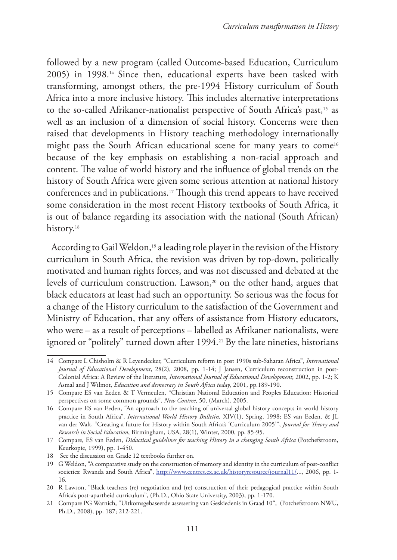followed by a new program (called Outcome-based Education, Curriculum 2005) in 1998.14 Since then, educational experts have been tasked with transforming, amongst others, the pre-1994 History curriculum of South Africa into a more inclusive history. This includes alternative interpretations to the so-called Afrikaner-nationalist perspective of South Africa's past,<sup>15</sup> as well as an inclusion of a dimension of social history. Concerns were then raised that developments in History teaching methodology internationally might pass the South African educational scene for many years to come<sup>16</sup> because of the key emphasis on establishing a non-racial approach and content. The value of world history and the influence of global trends on the history of South Africa were given some serious attention at national history conferences and in publications.17 Though this trend appears to have received some consideration in the most recent History textbooks of South Africa, it is out of balance regarding its association with the national (South African) history.<sup>18</sup>

According to Gail Weldon,<sup>19</sup> a leading role player in the revision of the History curriculum in South Africa, the revision was driven by top-down, politically motivated and human rights forces, and was not discussed and debated at the levels of curriculum construction. Lawson,<sup>20</sup> on the other hand, argues that black educators at least had such an opportunity. So serious was the focus for a change of the History curriculum to the satisfaction of the Government and Ministry of Education, that any offers of assistance from History educators, who were – as a result of perceptions – labelled as Afrikaner nationalists, were ignored or "politely" turned down after 1994.<sup>21</sup> By the late nineties, historians

<sup>14</sup> Compare L Chisholm & R Leyendecker, "Curriculum reform in post 1990s sub-Saharan Africa", *International Journal of Educational Development*, 28(2), 2008, pp. 1-14; J Jansen, Curriculum reconstruction in post-Colonial Africa: A Review of the literature, *International Journal of Educational Development*, 2002, pp. 1-2; K Asmal and J Wilmot, *Education and democracy in South Africa today*, 2001, pp.189-190.

<sup>15</sup> Compare ES van Eeden & T Vermeulen, "Christian National Education and Peoples Education: Historical perspectives on some common grounds", *New Contree*, 50, (March), 2005.

<sup>16</sup> Compare ES van Eeden, "An approach to the teaching of universal global history concepts in world history practice in South Africa", *International World History Bulletin,* XIV(1), Spring, 1998; ES van Eeden. & JL van der Walt, "Creating a future for History within South Africa's 'Curriculum 2005'", *Journal for Theory and Research in Social Education*, Birmingham, USA, 28(1), Winter, 2000, pp. 85-95.

<sup>17</sup> Compare, ES van Eeden, *Didactical guidelines for teaching History in a changing South Africa* (Potchefstroom, Keurkopie, 1999), pp. 1-450.

<sup>18</sup> See the discussion on Grade 12 textbooks further on.

<sup>19</sup> G Weldon, "A comparative study on the construction of memory and identity in the curriculum of post-conflict societies: Rwanda and South Africa", http://www.centres.ex.ac.uk/historyresource/journal11/..., 2006, pp. 1-16.

<sup>20</sup> R Lawson, "Black teachers (re) negotiation and (re) construction of their pedagogical practice within South Africa's post-apartheid curriculum", (Ph.D., Ohio State University, 2003), pp. 1-170.

<sup>21</sup> Compare PG Warnich, "Uitkomsgebaseerde assessering van Geskiedenis in Graad 10", (Potchefstroom NWU, Ph.D., 2008), pp. 187; 212-221.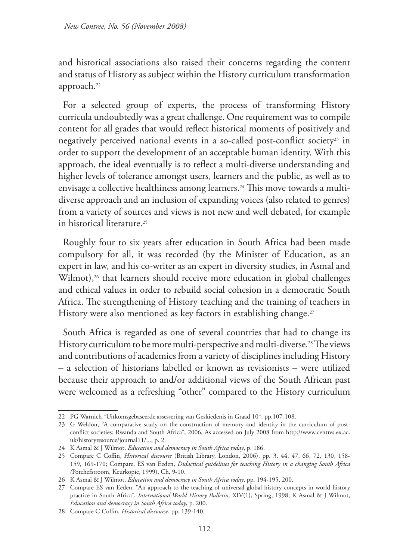and historical associations also raised their concerns regarding the content and status of History as subject within the History curriculum transformation approach.<sup>22</sup>

For a selected group of experts, the process of transforming History curricula undoubtedly was a great challenge. One requirement was to compile content for all grades that would reflect historical moments of positively and negatively perceived national events in a so-called post-conflict society<sup>23</sup> in order to support the development of an acceptable human identity. With this approach, the ideal eventually is to reflect a multi-diverse understanding and higher levels of tolerance amongst users, learners and the public, as well as to envisage a collective healthiness among learners.<sup>24</sup> This move towards a multidiverse approach and an inclusion of expanding voices (also related to genres) from a variety of sources and views is not new and well debated, for example in historical literature.25

Roughly four to six years after education in South Africa had been made compulsory for all, it was recorded (by the Minister of Education, as an expert in law, and his co-writer as an expert in diversity studies, in Asmal and Wilmot),<sup>26</sup> that learners should receive more education in global challenges and ethical values in order to rebuild social cohesion in a democratic South Africa. The strengthening of History teaching and the training of teachers in History were also mentioned as key factors in establishing change.<sup>27</sup>

South Africa is regarded as one of several countries that had to change its History curriculum to be more multi-perspective and multi-diverse.<sup>28</sup>The views and contributions of academics from a variety of disciplines including History – a selection of historians labelled or known as revisionists – were utilized because their approach to and/or additional views of the South African past were welcomed as a refreshing "other" compared to the History curriculum

<sup>22</sup> PG Warnich,"Uitkomsgebaseerde assessering van Geskiedenis in Graad 10", pp.107-108.

<sup>23</sup> G Weldon, "A comparative study on the construction of memory and identity in the curriculum of postconflict societies: Rwanda and South Africa", 2006, As accessed on July 2008 from http://www.centres.ex.ac. uk/historyresource/journal11/..., p. 2.

<sup>24</sup> K Asmal & J Wilmot, *Education and democracy in South Africa today*, p. 186.

<sup>25</sup> Compare C Coffin, *Historical discourse* (British Library, London, 2006), pp. 3, 44, 47, 66, 72, 130, 158- 159, 169-170; Compare, ES van Eeden, *Didactical guidelines for teaching History in a changing South Africa (*Potchefstroom, Keurkopie, 1999), Ch. 9-10.

<sup>26</sup> K Asmal & J Wilmot, *Education and democracy in South Africa today*, pp. 194-195, 200.

<sup>27</sup> Compare ES van Eeden, "An approach to the teaching of universal global history concepts in world history practice in South Africa", *International World History Bulletin,* XIV(1), Spring, 1998; K Asmal & J Wilmot, *Education and democracy in South Africa today*, p. 200.

<sup>28</sup> Compare C Coffin, *Historical discourse*, pp. 139-140.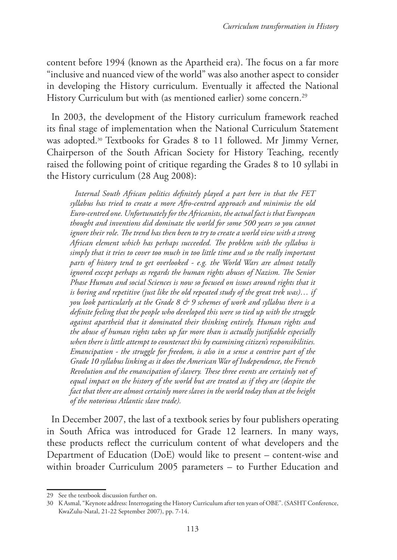content before 1994 (known as the Apartheid era). The focus on a far more "inclusive and nuanced view of the world" was also another aspect to consider in developing the History curriculum. Eventually it affected the National History Curriculum but with (as mentioned earlier) some concern.<sup>29</sup>

In 2003, the development of the History curriculum framework reached its final stage of implementation when the National Curriculum Statement was adopted.<sup>30</sup> Textbooks for Grades 8 to 11 followed. Mr Jimmy Verner, Chairperson of the South African Society for History Teaching, recently raised the following point of critique regarding the Grades 8 to 10 syllabi in the History curriculum (28 Aug 2008):

*Internal South African politics definitely played a part here in that the FET syllabus has tried to create a more Afro-centred approach and minimise the old Euro-centred one. Unfortunately for the Africanists, the actual fact is that European thought and inventions did dominate the world for some 500 years so you cannot ignore their role. The trend has then been to try to create a world view with a strong African element which has perhaps succeeded. The problem with the syllabus is simply that it tries to cover too much in too little time and so the really important parts of history tend to get overlooked - e.g. the World Wars are almost totally ignored except perhaps as regards the human rights abuses of Nazism. The Senior Phase Human and social Sciences is now so focused on issues around rights that it is boring and repetitive (just like the old repeated study of the great trek was)… if you look particularly at the Grade 8 & 9 schemes of work and syllabus there is a definite feeling that the people who developed this were so tied up with the struggle against apartheid that it dominated their thinking entirely. Human rights and the abuse of human rights takes up far more than is actually justifiable especially when there is little attempt to counteract this by examining citizen's responsibilities. Emancipation - the struggle for freedom, is also in a sense a contrive part of the Grade 10 syllabus linking as it does the American War of Independence, the French Revolution and the emancipation of slavery. These three events are certainly not of equal impact on the history of the world but are treated as if they are (despite the fact that there are almost certainly more slaves in the world today than at the height of the notorious Atlantic slave trade).*

In December 2007, the last of a textbook series by four publishers operating in South Africa was introduced for Grade 12 learners. In many ways, these products reflect the curriculum content of what developers and the Department of Education (DoE) would like to present – content-wise and within broader Curriculum 2005 parameters – to Further Education and

<sup>29</sup> See the textbook discussion further on.

<sup>30</sup> K Asmal, "Keynote address: Interrogating the History Curriculum after ten years of OBE". (SASHT Conference, KwaZulu-Natal, 21-22 September 2007), pp. 7-14.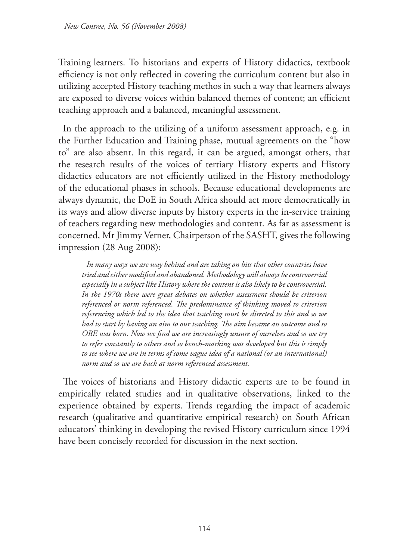Training learners. To historians and experts of History didactics, textbook efficiency is not only reflected in covering the curriculum content but also in utilizing accepted History teaching methos in such a way that learners always are exposed to diverse voices within balanced themes of content; an efficient teaching approach and a balanced, meaningful assessment.

In the approach to the utilizing of a uniform assessment approach, e.g. in the Further Education and Training phase, mutual agreements on the "how to" are also absent. In this regard, it can be argued, amongst others, that the research results of the voices of tertiary History experts and History didactics educators are not efficiently utilized in the History methodology of the educational phases in schools. Because educational developments are always dynamic, the DoE in South Africa should act more democratically in its ways and allow diverse inputs by history experts in the in-service training of teachers regarding new methodologies and content. As far as assessment is concerned, Mr Jimmy Verner, Chairperson of the SASHT, gives the following impression (28 Aug 2008):

*In many ways we are way behind and are taking on bits that other countries have tried and either modified and abandoned. Methodology will always be controversial especially in a subject like History where the content is also likely to be controversial. In the 1970s there were great debates on whether assessment should be criterion referenced or norm referenced. The predominance of thinking moved to criterion referencing which led to the idea that teaching must be directed to this and so we had to start by having an aim to our teaching. The aim became an outcome and so OBE was born. Now we find we are increasingly unsure of ourselves and so we try to refer constantly to others and so bench-marking was developed but this is simply to see where we are in terms of some vague idea of a national (or an international) norm and so we are back at norm referenced assessment.*

The voices of historians and History didactic experts are to be found in empirically related studies and in qualitative observations, linked to the experience obtained by experts. Trends regarding the impact of academic research (qualitative and quantitative empirical research) on South African educators' thinking in developing the revised History curriculum since 1994 have been concisely recorded for discussion in the next section.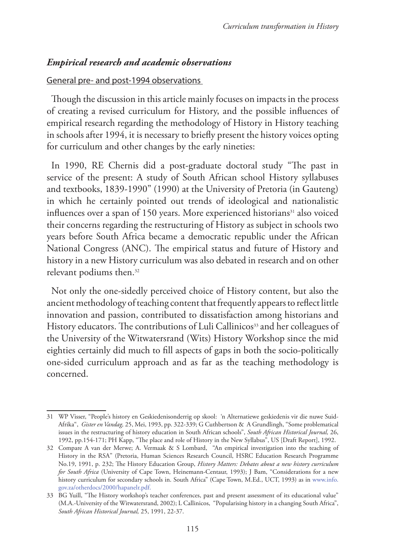## *Empirical research and academic observations*

#### General pre- and post-1994 observations

Though the discussion in this article mainly focuses on impacts in the process of creating a revised curriculum for History, and the possible influences of empirical research regarding the methodology of History in History teaching in schools after 1994, it is necessary to briefly present the history voices opting for curriculum and other changes by the early nineties:

In 1990, RE Chernis did a post-graduate doctoral study "The past in service of the present: A study of South African school History syllabuses and textbooks, 1839-1990" (1990) at the University of Pretoria (in Gauteng) in which he certainly pointed out trends of ideological and nationalistic influences over a span of 150 years. More experienced historians<sup>31</sup> also voiced their concerns regarding the restructuring of History as subject in schools two years before South Africa became a democratic republic under the African National Congress (ANC). The empirical status and future of History and history in a new History curriculum was also debated in research and on other relevant podiums then.32

Not only the one-sidedly perceived choice of History content, but also the ancient methodology of teaching content that frequently appears to reflect little innovation and passion, contributed to dissatisfaction among historians and History educators. The contributions of Luli Callinicos<sup>33</sup> and her colleagues of the University of the Witwatersrand (Wits) History Workshop since the mid eighties certainly did much to fill aspects of gaps in both the socio-politically one-sided curriculum approach and as far as the teaching methodology is concerned.

<sup>31</sup> WP Visser, "People's history en Geskiedenisonderrig op skool: 'n Alternatiewe geskiedenis vir die nuwe Suid-Afrika", *Gister en Vandag,* 25, Mei, 1993, pp. 322-339; G Cuthbertson & A Grundlingh, "Some problematical issues in the restructuring of history education in South African schools", *South African Historical Journal,* 26, 1992, pp.154-171; PH Kapp, "The place and role of History in the New Syllabus", US [Draft Report], 1992.

<sup>32</sup> Compare A van der Merwe; A. Vermaak & S Lombard, "An empirical investigation into the teaching of History in the RSA" (Pretoria, Human Sciences Research Council, HSRC Education Research Programme No.19, 1991, p. 232; The History Education Group, *History Matters: Debates about a new history curriculum for South Africa* (University of Cape Town, Heinemann-Centaur, 1993); J Bam, "Considerations for a new history curriculum for secondary schools in. South Africa" (Cape Town, M.Ed., UCT, 1993) as in www.info. gov.za/otherdocs/2000/hapanelr.pdf.

<sup>33</sup> BG Yuill, "The History workshop's teacher conferences, past and present assessment of its educational value" (M.A.-University of the Witwatersrand, 2002); L Callinicos, "Popularising history in a changing South Africa", *South African Historical Journal,* 25, 1991, 22-37.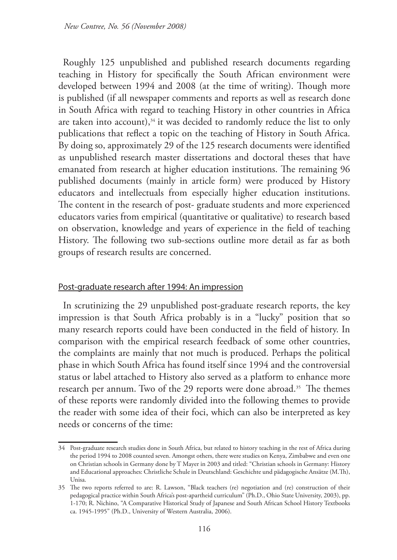Roughly 125 unpublished and published research documents regarding teaching in History for specifically the South African environment were developed between 1994 and 2008 (at the time of writing). Though more is published (if all newspaper comments and reports as well as research done in South Africa with regard to teaching History in other countries in Africa are taken into account), $34$  it was decided to randomly reduce the list to only publications that reflect a topic on the teaching of History in South Africa. By doing so, approximately 29 of the 125 research documents were identified as unpublished research master dissertations and doctoral theses that have emanated from research at higher education institutions. The remaining 96 published documents (mainly in article form) were produced by History educators and intellectuals from especially higher education institutions. The content in the research of post- graduate students and more experienced educators varies from empirical (quantitative or qualitative) to research based on observation, knowledge and years of experience in the field of teaching History. The following two sub-sections outline more detail as far as both groups of research results are concerned.

#### Post-graduate research after 1994: An impression

In scrutinizing the 29 unpublished post-graduate research reports, the key impression is that South Africa probably is in a "lucky" position that so many research reports could have been conducted in the field of history. In comparison with the empirical research feedback of some other countries, the complaints are mainly that not much is produced. Perhaps the political phase in which South Africa has found itself since 1994 and the controversial status or label attached to History also served as a platform to enhance more research per annum. Two of the 29 reports were done abroad.<sup>35</sup> The themes of these reports were randomly divided into the following themes to provide the reader with some idea of their foci, which can also be interpreted as key needs or concerns of the time:

<sup>34</sup> Post-graduate research studies done in South Africa, but related to history teaching in the rest of Africa during the period 1994 to 2008 counted seven. Amongst others, there were studies on Kenya, Zimbabwe and even one on Christian schools in Germany done by T Mayer in 2003 and titled: "Christian schools in Germany: History and Educational approaches: Christliche Schule in Deutschland: Geschichte und pädagogische Ansätze (M.Th), Unisa.

<sup>35</sup> The two reports referred to are: R. Lawson, "Black teachers (re) negotiation and (re) construction of their pedagogical practice within South Africa's post-apartheid curriculum" (Ph.D., Ohio State University, 2003), pp. 1-170; R. Nichino, "A Comparative Historical Study of Japanese and South African School History Textbooks ca. 1945-1995" (Ph.D., University of Western Australia, 2006).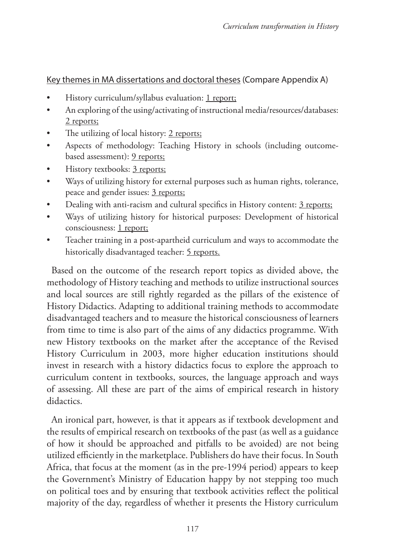## Key themes in MA dissertations and doctoral theses (Compare Appendix A)

- History curriculum/syllabus evaluation: 1 report;
- An exploring of the using/activating of instructional media/resources/databases: 2 reports;
- The utilizing of local history: 2 reports;
- Aspects of methodology: Teaching History in schools (including outcomebased assessment): 9 reports;
- History textbooks: 3 reports;
- Ways of utilizing history for external purposes such as human rights, tolerance, peace and gender issues: 3 reports;
- Dealing with anti-racism and cultural specifics in History content: 3 reports;
- Ways of utilizing history for historical purposes: Development of historical consciousness: 1 report;
- Teacher training in a post-apartheid curriculum and ways to accommodate the historically disadvantaged teacher: 5 reports.

Based on the outcome of the research report topics as divided above, the methodology of History teaching and methods to utilize instructional sources and local sources are still rightly regarded as the pillars of the existence of History Didactics. Adapting to additional training methods to accommodate disadvantaged teachers and to measure the historical consciousness of learners from time to time is also part of the aims of any didactics programme. With new History textbooks on the market after the acceptance of the Revised History Curriculum in 2003, more higher education institutions should invest in research with a history didactics focus to explore the approach to curriculum content in textbooks, sources, the language approach and ways of assessing. All these are part of the aims of empirical research in history didactics.

An ironical part, however, is that it appears as if textbook development and the results of empirical research on textbooks of the past (as well as a guidance of how it should be approached and pitfalls to be avoided) are not being utilized efficiently in the marketplace. Publishers do have their focus. In South Africa, that focus at the moment (as in the pre-1994 period) appears to keep the Government's Ministry of Education happy by not stepping too much on political toes and by ensuring that textbook activities reflect the political majority of the day, regardless of whether it presents the History curriculum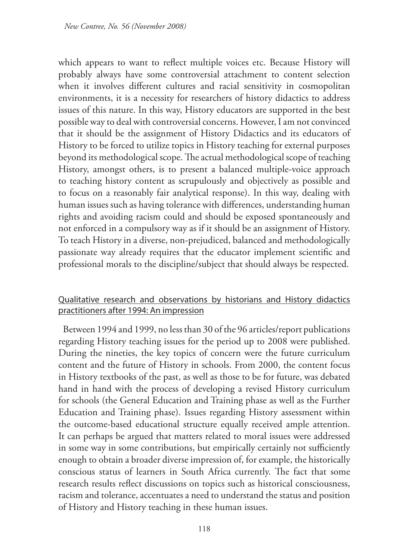which appears to want to reflect multiple voices etc. Because History will probably always have some controversial attachment to content selection when it involves different cultures and racial sensitivity in cosmopolitan environments, it is a necessity for researchers of history didactics to address issues of this nature. In this way, History educators are supported in the best possible way to deal with controversial concerns. However, I am not convinced that it should be the assignment of History Didactics and its educators of History to be forced to utilize topics in History teaching for external purposes beyond its methodological scope. The actual methodological scope of teaching History, amongst others, is to present a balanced multiple-voice approach to teaching history content as scrupulously and objectively as possible and to focus on a reasonably fair analytical response). In this way, dealing with human issues such as having tolerance with differences, understanding human rights and avoiding racism could and should be exposed spontaneously and not enforced in a compulsory way as if it should be an assignment of History. To teach History in a diverse, non-prejudiced, balanced and methodologically passionate way already requires that the educator implement scientific and professional morals to the discipline/subject that should always be respected.

## Qualitative research and observations by historians and History didactics practitioners after 1994: An impression

Between 1994 and 1999, no less than 30 of the 96 articles/report publications regarding History teaching issues for the period up to 2008 were published. During the nineties, the key topics of concern were the future curriculum content and the future of History in schools. From 2000, the content focus in History textbooks of the past, as well as those to be for future, was debated hand in hand with the process of developing a revised History curriculum for schools (the General Education and Training phase as well as the Further Education and Training phase). Issues regarding History assessment within the outcome-based educational structure equally received ample attention. It can perhaps be argued that matters related to moral issues were addressed in some way in some contributions, but empirically certainly not sufficiently enough to obtain a broader diverse impression of, for example, the historically conscious status of learners in South Africa currently. The fact that some research results reflect discussions on topics such as historical consciousness, racism and tolerance, accentuates a need to understand the status and position of History and History teaching in these human issues.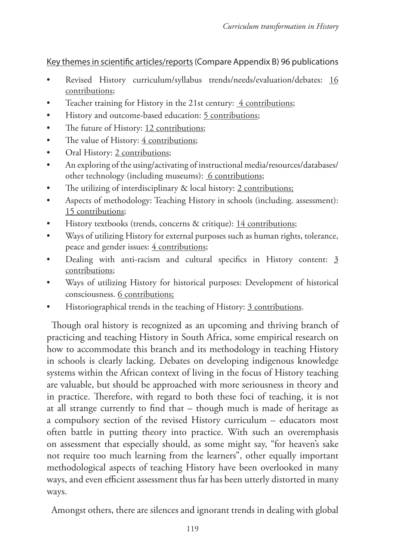## Key themes in scientific articles/reports (Compare Appendix B) 96 publications

- Revised History curriculum/syllabus trends/needs/evaluation/debates: 16 contributions;
- Teacher training for History in the 21st century: 4 contributions;
- History and outcome-based education: 5 contributions;
- The future of History: 12 contributions;
- The value of History: 4 contributions;
- Oral History: 2 contributions;
- An exploring of the using/activating of instructional media/resources/databases/ other technology (including museums): 6 contributions;
- The utilizing of interdisciplinary & local history: 2 contributions;
- Aspects of methodology: Teaching History in schools (including. assessment): 15 contributions;
- History textbooks (trends, concerns & critique): 14 contributions;
- Ways of utilizing History for external purposes such as human rights, tolerance, peace and gender issues:  $\frac{4}{1}$  contributions;
- Dealing with anti-racism and cultural specifics in History content: 3 contributions;
- Ways of utilizing History for historical purposes: Development of historical consciousness. 6 contributions;
- Historiographical trends in the teaching of History: 3 contributions.

Though oral history is recognized as an upcoming and thriving branch of practicing and teaching History in South Africa, some empirical research on how to accommodate this branch and its methodology in teaching History in schools is clearly lacking. Debates on developing indigenous knowledge systems within the African context of living in the focus of History teaching are valuable, but should be approached with more seriousness in theory and in practice. Therefore, with regard to both these foci of teaching, it is not at all strange currently to find that – though much is made of heritage as a compulsory section of the revised History curriculum – educators most often battle in putting theory into practice. With such an overemphasis on assessment that especially should, as some might say, "for heaven's sake not require too much learning from the learners", other equally important methodological aspects of teaching History have been overlooked in many ways, and even efficient assessment thus far has been utterly distorted in many ways.

Amongst others, there are silences and ignorant trends in dealing with global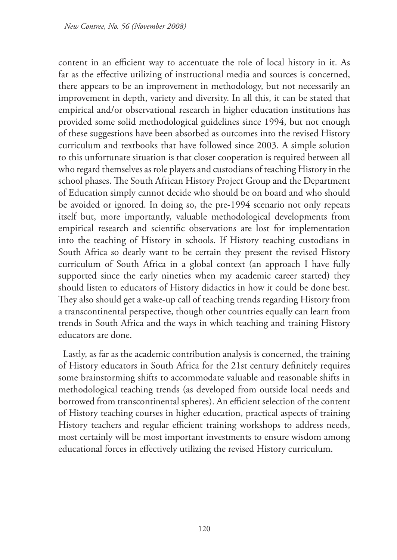content in an efficient way to accentuate the role of local history in it. As far as the effective utilizing of instructional media and sources is concerned, there appears to be an improvement in methodology, but not necessarily an improvement in depth, variety and diversity. In all this, it can be stated that empirical and/or observational research in higher education institutions has provided some solid methodological guidelines since 1994, but not enough of these suggestions have been absorbed as outcomes into the revised History curriculum and textbooks that have followed since 2003. A simple solution to this unfortunate situation is that closer cooperation is required between all who regard themselves as role players and custodians of teaching History in the school phases. The South African History Project Group and the Department of Education simply cannot decide who should be on board and who should be avoided or ignored. In doing so, the pre-1994 scenario not only repeats itself but, more importantly, valuable methodological developments from empirical research and scientific observations are lost for implementation into the teaching of History in schools. If History teaching custodians in South Africa so dearly want to be certain they present the revised History curriculum of South Africa in a global context (an approach I have fully supported since the early nineties when my academic career started) they should listen to educators of History didactics in how it could be done best. They also should get a wake-up call of teaching trends regarding History from a transcontinental perspective, though other countries equally can learn from trends in South Africa and the ways in which teaching and training History educators are done.

Lastly, as far as the academic contribution analysis is concerned, the training of History educators in South Africa for the 21st century definitely requires some brainstorming shifts to accommodate valuable and reasonable shifts in methodological teaching trends (as developed from outside local needs and borrowed from transcontinental spheres). An efficient selection of the content of History teaching courses in higher education, practical aspects of training History teachers and regular efficient training workshops to address needs, most certainly will be most important investments to ensure wisdom among educational forces in effectively utilizing the revised History curriculum.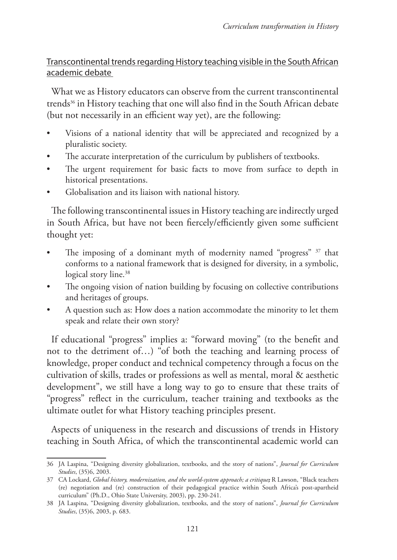## Transcontinental trends regarding History teaching visible in the South African academic debate

What we as History educators can observe from the current transcontinental trends<sup>36</sup> in History teaching that one will also find in the South African debate (but not necessarily in an efficient way yet), are the following:

- Visions of a national identity that will be appreciated and recognized by a pluralistic society.
- The accurate interpretation of the curriculum by publishers of textbooks.
- The urgent requirement for basic facts to move from surface to depth in historical presentations.
- Globalisation and its liaison with national history.

The following transcontinental issues in History teaching are indirectly urged in South Africa, but have not been fiercely/efficiently given some sufficient thought yet:

- The imposing of a dominant myth of modernity named "progress" <sup>37</sup> that conforms to a national framework that is designed for diversity, in a symbolic, logical story line.<sup>38</sup>
- The ongoing vision of nation building by focusing on collective contributions and heritages of groups.
- A question such as: How does a nation accommodate the minority to let them speak and relate their own story?

If educational "progress" implies a: "forward moving" (to the benefit and not to the detriment of…) "of both the teaching and learning process of knowledge, proper conduct and technical competency through a focus on the cultivation of skills, trades or professions as well as mental, moral & aesthetic development", we still have a long way to go to ensure that these traits of "progress" reflect in the curriculum, teacher training and textbooks as the ultimate outlet for what History teaching principles present.

Aspects of uniqueness in the research and discussions of trends in History teaching in South Africa, of which the transcontinental academic world can

<sup>36</sup> JA Laspina, "Designing diversity globalization, textbooks, and the story of nations", *Journal for Curriculum Studies*, (35)6, 2003.

<sup>37</sup> CA Lockard, *Global history, modernization, and the world-system approach; a critique;* R Lawson, "Black teachers (re) negotiation and (re) construction of their pedagogical practice within South Africa's post-apartheid curriculum" (Ph.D., Ohio State University, 2003), pp. 230-241.

<sup>38</sup> JA Laspina, "Designing diversity globalization, textbooks, and the story of nations", *Journal for Curriculum Studies*, (35)6, 2003, p. 683.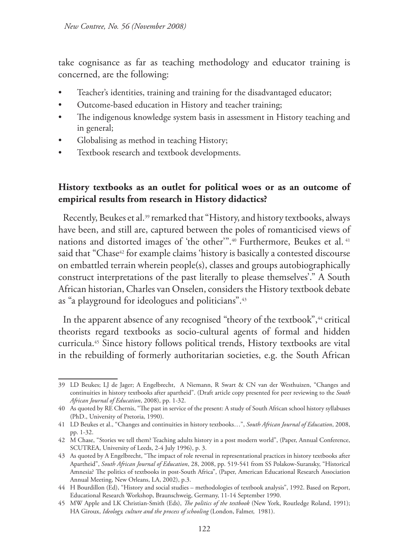take cognisance as far as teaching methodology and educator training is concerned, are the following:

- Teacher's identities, training and training for the disadvantaged educator;
- Outcome-based education in History and teacher training;
- The indigenous knowledge system basis in assessment in History teaching and in general;
- Globalising as method in teaching History;
- Textbook research and textbook developments.

## **History textbooks as an outlet for political woes or as an outcome of empirical results from research in History didactics?**

Recently, Beukes et al.39 remarked that "History, and history textbooks, always have been, and still are, captured between the poles of romanticised views of nations and distorted images of 'the other'".40 Furthermore, Beukes et al. 41 said that "Chase<sup>42</sup> for example claims 'history is basically a contested discourse on embattled terrain wherein people(s), classes and groups autobiographically construct interpretations of the past literally to please themselves'." A South African historian, Charles van Onselen, considers the History textbook debate as "a playground for ideologues and politicians".43

In the apparent absence of any recognised "theory of the textbook",<sup>44</sup> critical theorists regard textbooks as socio-cultural agents of formal and hidden curricula.45 Since history follows political trends, History textbooks are vital in the rebuilding of formerly authoritarian societies, e.g. the South African

<sup>39</sup> LD Beukes; LJ de Jager; A Engelbrecht, A Niemann, R Swart & CN van der Westhuizen, "Changes and continuities in history textbooks after apartheid". (Draft article copy presented for peer reviewing to the *South African Journal of Education*, 2008), pp. 1-32.

<sup>40</sup> As quoted by RE Chernis, "The past in service of the present: A study of South African school history syllabuses (PhD., University of Pretoria, 1990).

<sup>41</sup> LD Beukes et al., "Changes and continuities in history textbooks…", *South African Journal of Education*, 2008, pp. 1-32.

<sup>42</sup> M Chase, "Stories we tell them? Teaching adults history in a post modern world", (Paper, Annual Conference, SCUTREA, University of Leeds, 2-4 July 1996), p. 3.

<sup>43</sup> As quoted by A Engelbrecht, "The impact of role reversal in representational practices in history textbooks after Apartheid", *South African Journal of Education*, 28, 2008, pp. 519-541 from SS Polakow-Suransky, "Historical Amnesia? The politics of textbooks in post-South Africa", (Paper, American Educational Research Association Annual Meeting, New Orleans, LA, 2002), p.3.

<sup>44</sup> H Bourdillon (Ed), "History and social studies – methodologies of textbook analysis", 1992. Based on Report, Educational Research Workshop, Braunschweig, Germany, 11-14 September 1990.

<sup>45</sup> MW Apple and LK Christian-Smith (Eds), *The politics of the textbook* (New York, Routledge Roland, 1991); HA Giroux, *Ideology, culture and the process of schooling* (London, Falmer, 1981).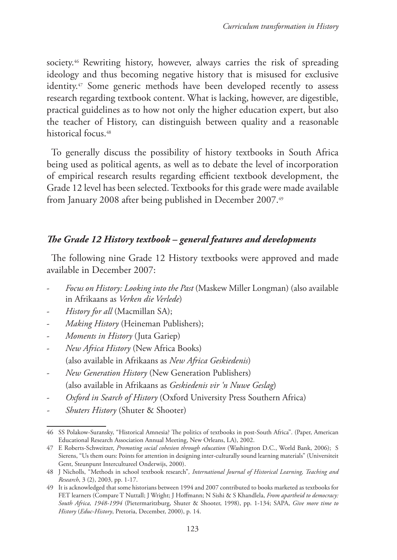society.<sup>46</sup> Rewriting history, however, always carries the risk of spreading ideology and thus becoming negative history that is misused for exclusive identity.<sup>47</sup> Some generic methods have been developed recently to assess research regarding textbook content. What is lacking, however, are digestible, practical guidelines as to how not only the higher education expert, but also the teacher of History, can distinguish between quality and a reasonable historical focus.<sup>48</sup>

To generally discuss the possibility of history textbooks in South Africa being used as political agents, as well as to debate the level of incorporation of empirical research results regarding efficient textbook development, the Grade 12 level has been selected. Textbooks for this grade were made available from January 2008 after being published in December 2007.49

## *The Grade 12 History textbook – general features and developments*

The following nine Grade 12 History textbooks were approved and made available in December 2007:

- *Focus on History: Looking into the Past* (Maskew Miller Longman) (also available in Afrikaans as *Verken die Verlede*)
- *History for all* (Macmillan SA);
- *Making History* (Heineman Publishers);
- *Moments in History* (Juta Gariep)
- *New Africa History* (New Africa Books) (also available in Afrikaans as *New Africa Geskiedenis*)
- *New Generation History* (New Generation Publishers) (also available in Afrikaans as *Geskiedenis vir 'n Nuwe Geslag*)
- *Oxford in Search of History* (Oxford University Press Southern Africa)
- *- Shuters History* (Shuter & Shooter)

<sup>46</sup> SS Polakow-Suransky, "Historical Amnesia? The politics of textbooks in post-South Africa". (Paper, American Educational Research Association Annual Meeting, New Orleans, LA), 2002.

<sup>47</sup> E Roberts-Schweitzer, *Promoting social cohesion through education* (Washington D.C., World Bank, 2006); S Sierens, "Us them ours: Points for attention in designing inter-culturally sound learning materials" (Universiteit Gent, Steunpunt Intercultureel Onderwijs, 2000).

<sup>48</sup> J Nicholls, "Methods in school textbook research"*, International Journal of Historical Learning, Teaching and Research*, 3 (2), 2003, pp. 1-17.

<sup>49</sup> It is acknowledged that some historians between 1994 and 2007 contributed to books marketed as textbooks for FET learners (Compare T Nuttall; J Wright; J Hoffmann; N Sishi & S Khandlela, *From apartheid to democracy: South Africa, 1948-1994* (Pietermaritzburg, Shuter & Shooter, 1998), pp. 1-134; SAPA, *Give more time to History* (*Educ-History*, Pretoria, December, 2000), p. 14.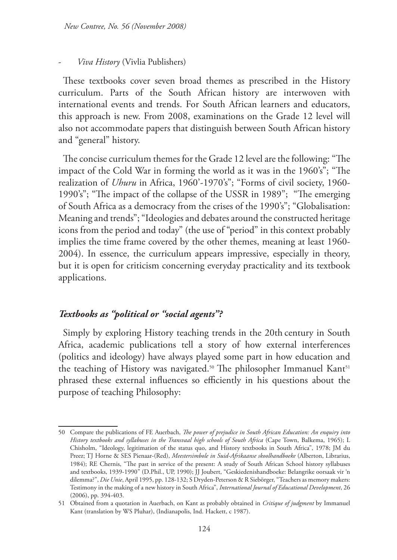#### - *Viva History* (Vivlia Publishers)

These textbooks cover seven broad themes as prescribed in the History curriculum. Parts of the South African history are interwoven with international events and trends. For South African learners and educators, this approach is new. From 2008, examinations on the Grade 12 level will also not accommodate papers that distinguish between South African history and "general" history.

The concise curriculum themes for the Grade 12 level are the following: "The impact of the Cold War in forming the world as it was in the 1960's"; "The realization of *Uhuru* in Africa, 1960'-1970's"; "Forms of civil society, 1960-1990's"; "The impact of the collapse of the USSR in 1989"; "The emerging of South Africa as a democracy from the crises of the 1990's"; "Globalisation: Meaning and trends"; "Ideologies and debates around the constructed heritage icons from the period and today" (the use of "period" in this context probably implies the time frame covered by the other themes, meaning at least 1960- 2004). In essence, the curriculum appears impressive, especially in theory, but it is open for criticism concerning everyday practicality and its textbook applications.

### *Textbooks as "political or "social agents"?*

Simply by exploring History teaching trends in the 20th century in South Africa, academic publications tell a story of how external interferences (politics and ideology) have always played some part in how education and the teaching of History was navigated.<sup>50</sup> The philosopher Immanuel Kant<sup>51</sup> phrased these external influences so efficiently in his questions about the purpose of teaching Philosophy:

<sup>50</sup> Compare the publications of FE Auerbach, *The power of prejudice in South African Education: An enquiry into History textbooks and syllabuses in the Transvaal high schools of South Africa* (Cape Town, Balkema, 1965); L Chisholm, "Ideology, legitimation of the status quo, and History textbooks in South Africa", 1978; JM du Preez; TJ Horne & SES Pienaar-(Red), *Meestersimbole in Suid-Afrikaanse skoolhandboeke* (Alberton, Librarius, 1984); RE Chernis, "The past in service of the present: A study of South African School history syllabuses and textbooks, 1939-1990" (D.Phil., UP, 1990); JJ Joubert, "Geskiedenishandboeke: Belangrike oorsaak vir 'n dilemma?", *Die Unie*, April 1995, pp. 128-132; S Dryden-Peterson & R Siebörger, "Teachers as memory makers: Testimony in the making of a new history in South Africa", *International Journal of Educational Development*, 26 (2006), pp. 394-403.

<sup>51</sup> Obtained from a quotation in Auerbach, on Kant as probably obtained in *Critique of judgment* by Immanuel Kant (translation by WS Pluhar), (Indianapolis, Ind. Hackett, c 1987).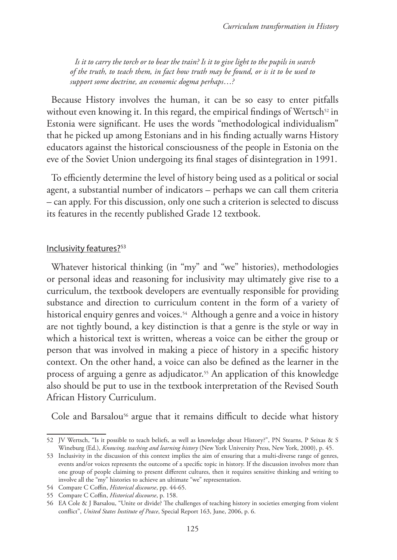*Is it to carry the torch or to bear the train? Is it to give light to the pupils in search of the truth, to teach them, in fact how truth may be found, or is it to be used to support some doctrine, an economic dogma perhaps*…*?* 

Because History involves the human, it can be so easy to enter pitfalls without even knowing it. In this regard, the empirical findings of Wertsch<sup>52</sup> in Estonia were significant. He uses the words "methodological individualism" that he picked up among Estonians and in his finding actually warns History educators against the historical consciousness of the people in Estonia on the eve of the Soviet Union undergoing its final stages of disintegration in 1991.

To efficiently determine the level of history being used as a political or social agent, a substantial number of indicators – perhaps we can call them criteria – can apply. For this discussion, only one such a criterion is selected to discuss its features in the recently published Grade 12 textbook.

#### Inclusivity features?<sup>53</sup>

Whatever historical thinking (in "my" and "we" histories), methodologies or personal ideas and reasoning for inclusivity may ultimately give rise to a curriculum, the textbook developers are eventually responsible for providing substance and direction to curriculum content in the form of a variety of historical enquiry genres and voices.<sup>54</sup> Although a genre and a voice in history are not tightly bound, a key distinction is that a genre is the style or way in which a historical text is written, whereas a voice can be either the group or person that was involved in making a piece of history in a specific history context. On the other hand, a voice can also be defined as the learner in the process of arguing a genre as adjudicator.<sup>55</sup> An application of this knowledge also should be put to use in the textbook interpretation of the Revised South African History Curriculum.

Cole and Barsalou<sup>56</sup> argue that it remains difficult to decide what history

<sup>52</sup> JV Wertsch, "Is it possible to teach beliefs, as well as knowledge about History?", PN Stearns, P Seixas & S Wineburg (Ed.), *Knowing, teaching and learning history* (New York University Press, New York, 2000), p. 45.

<sup>53</sup> Inclusivity in the discussion of this context implies the aim of ensuring that a multi-diverse range of genres, events and/or voices represents the outcome of a specific topic in history. If the discussion involves more than one group of people claiming to present different cultures, then it requires sensitive thinking and writing to involve all the "my" histories to achieve an ultimate "we" representation.

<sup>54</sup> Compare C Coffin, *Historical discourse*, pp. 44-65.

<sup>55</sup> Compare C Coffin, *Historical discourse*, p. 158.

<sup>56</sup> EA Cole & J Barsalou, "Unite or divide? The challenges of teaching history in societies emerging from violent conflict", *United States Institute of Peace*, Special Report 163, June, 2006, p. 6.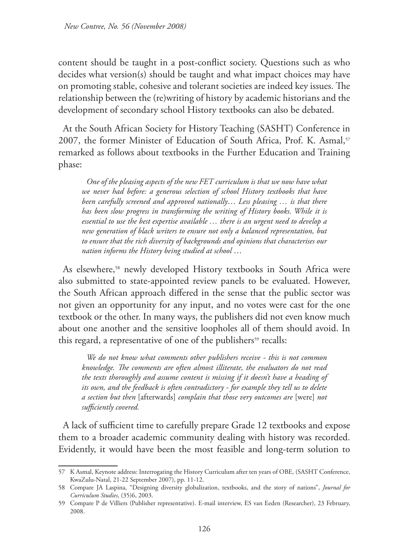content should be taught in a post-conflict society. Questions such as who decides what version(s) should be taught and what impact choices may have on promoting stable, cohesive and tolerant societies are indeed key issues. The relationship between the (re)writing of history by academic historians and the development of secondary school History textbooks can also be debated.

At the South African Society for History Teaching (SASHT) Conference in 2007, the former Minister of Education of South Africa, Prof. K. Asmal,<sup>57</sup> remarked as follows about textbooks in the Further Education and Training phase:

*One of the pleasing aspects of the new FET curriculum is that we now have what we never had before: a generous selection of school History textbooks that have been carefully screened and approved nationally*… *Less pleasing … is that there has been slow progress in transforming the writing of History books. While it is essential to use the best expertise available … there is an urgent need to develop a new generation of black writers to ensure not only a balanced representation, but to ensure that the rich diversity of backgrounds and opinions that characterises our nation informs the History being studied at school* …

As elsewhere,<sup>58</sup> newly developed History textbooks in South Africa were also submitted to state-appointed review panels to be evaluated. However, the South African approach differed in the sense that the public sector was not given an opportunity for any input, and no votes were cast for the one textbook or the other. In many ways, the publishers did not even know much about one another and the sensitive loopholes all of them should avoid. In this regard, a representative of one of the publishers<sup>59</sup> recalls:

*We do not know what comments other publishers receive - this is not common knowledge. The comments are often almost illiterate, the evaluators do not read the texts thoroughly and assume content is missing if it doesn't have a heading of its own, and the feedback is often contradictory - for example they tell us to delete a section but then* [afterwards] *complain that those very outcomes are* [were] *not sufficiently covered.*

A lack of sufficient time to carefully prepare Grade 12 textbooks and expose them to a broader academic community dealing with history was recorded. Evidently, it would have been the most feasible and long-term solution to

<sup>57</sup> K Asmal, Keynote address: Interrogating the History Curriculum after ten years of OBE, (SASHT Conference, KwaZulu-Natal, 21-22 September 2007), pp. 11-12.

<sup>58</sup> Compare JA Laspina, "Designing diversity globalization, textbooks, and the story of nations", *Journal for Curriculum Studies*, (35)6, 2003.

<sup>59</sup> Compare P de Villiers (Publisher representative). E-mail interview, ES van Eeden (Researcher), 23 February, 2008.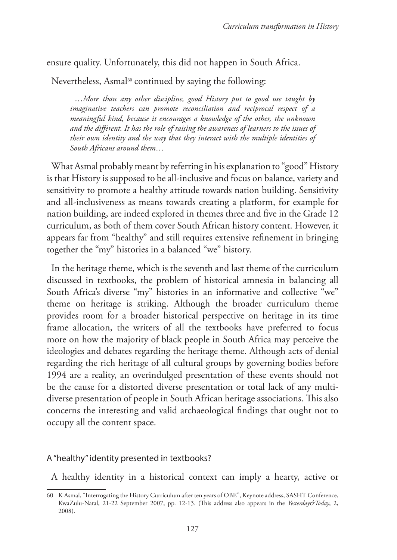## ensure quality. Unfortunately, this did not happen in South Africa.

Nevertheless, Asmal<sup>60</sup> continued by saying the following:

…*More than any other discipline, good History put to good use taught by imaginative teachers can promote reconciliation and reciprocal respect of a meaningful kind, because it encourages a knowledge of the other, the unknown and the different. It has the role of raising the awareness of learners to the issues of their own identity and the way that they interact with the multiple identities of South Africans around them*…

What Asmal probably meant by referring in his explanation to "good" History is that History is supposed to be all-inclusive and focus on balance, variety and sensitivity to promote a healthy attitude towards nation building. Sensitivity and all-inclusiveness as means towards creating a platform, for example for nation building, are indeed explored in themes three and five in the Grade 12 curriculum, as both of them cover South African history content. However, it appears far from "healthy" and still requires extensive refinement in bringing together the "my" histories in a balanced "we" history.

In the heritage theme, which is the seventh and last theme of the curriculum discussed in textbooks, the problem of historical amnesia in balancing all South Africa's diverse "my" histories in an informative and collective "we" theme on heritage is striking. Although the broader curriculum theme provides room for a broader historical perspective on heritage in its time frame allocation, the writers of all the textbooks have preferred to focus more on how the majority of black people in South Africa may perceive the ideologies and debates regarding the heritage theme. Although acts of denial regarding the rich heritage of all cultural groups by governing bodies before 1994 are a reality, an overindulged presentation of these events should not be the cause for a distorted diverse presentation or total lack of any multidiverse presentation of people in South African heritage associations. This also concerns the interesting and valid archaeological findings that ought not to occupy all the content space.

#### A "healthy" identity presented in textbooks?

A healthy identity in a historical context can imply a hearty, active or

<sup>60</sup> K Asmal, "Interrogating the History Curriculum after ten years of OBE", Keynote address, SASHT Conference, KwaZulu-Natal, 21-22 September 2007, pp. 12-13. (This address also appears in the *Yesterday&Today*, 2, 2008).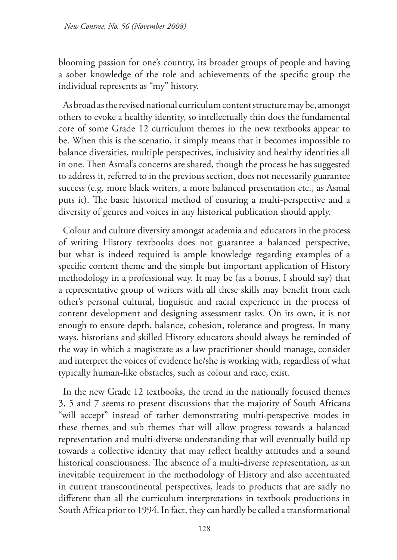blooming passion for one's country, its broader groups of people and having a sober knowledge of the role and achievements of the specific group the individual represents as "my" history.

As broad as the revised national curriculum content structure may be, amongst others to evoke a healthy identity, so intellectually thin does the fundamental core of some Grade 12 curriculum themes in the new textbooks appear to be. When this is the scenario, it simply means that it becomes impossible to balance diversities, multiple perspectives, inclusivity and healthy identities all in one. Then Asmal's concerns are shared, though the process he has suggested to address it, referred to in the previous section, does not necessarily guarantee success (e.g. more black writers, a more balanced presentation etc., as Asmal puts it). The basic historical method of ensuring a multi-perspective and a diversity of genres and voices in any historical publication should apply.

Colour and culture diversity amongst academia and educators in the process of writing History textbooks does not guarantee a balanced perspective, but what is indeed required is ample knowledge regarding examples of a specific content theme and the simple but important application of History methodology in a professional way. It may be (as a bonus, I should say) that a representative group of writers with all these skills may benefit from each other's personal cultural, linguistic and racial experience in the process of content development and designing assessment tasks. On its own, it is not enough to ensure depth, balance, cohesion, tolerance and progress. In many ways, historians and skilled History educators should always be reminded of the way in which a magistrate as a law practitioner should manage, consider and interpret the voices of evidence he/she is working with, regardless of what typically human-like obstacles, such as colour and race, exist.

In the new Grade 12 textbooks, the trend in the nationally focused themes 3, 5 and 7 seems to present discussions that the majority of South Africans "will accept" instead of rather demonstrating multi-perspective modes in these themes and sub themes that will allow progress towards a balanced representation and multi-diverse understanding that will eventually build up towards a collective identity that may reflect healthy attitudes and a sound historical consciousness. The absence of a multi-diverse representation, as an inevitable requirement in the methodology of History and also accentuated in current transcontinental perspectives, leads to products that are sadly no different than all the curriculum interpretations in textbook productions in South Africa prior to 1994. In fact, they can hardly be called a transformational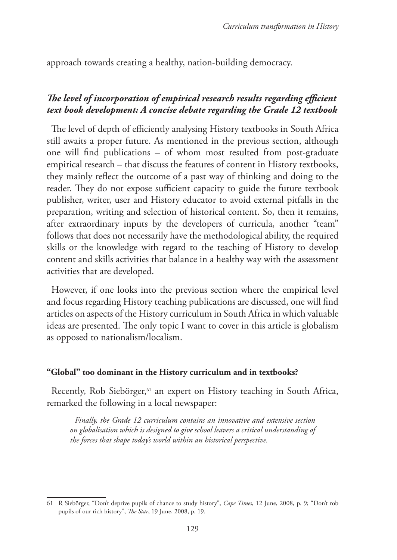approach towards creating a healthy, nation-building democracy.

## *The level of incorporation of empirical research results regarding efficient text book development: A concise debate regarding the Grade 12 textbook*

The level of depth of efficiently analysing History textbooks in South Africa still awaits a proper future. As mentioned in the previous section, although one will find publications – of whom most resulted from post-graduate empirical research – that discuss the features of content in History textbooks, they mainly reflect the outcome of a past way of thinking and doing to the reader. They do not expose sufficient capacity to guide the future textbook publisher, writer, user and History educator to avoid external pitfalls in the preparation, writing and selection of historical content. So, then it remains, after extraordinary inputs by the developers of curricula, another "team" follows that does not necessarily have the methodological ability, the required skills or the knowledge with regard to the teaching of History to develop content and skills activities that balance in a healthy way with the assessment activities that are developed.

However, if one looks into the previous section where the empirical level and focus regarding History teaching publications are discussed, one will find articles on aspects of the History curriculum in South Africa in which valuable ideas are presented. The only topic I want to cover in this article is globalism as opposed to nationalism/localism.

#### **"Global" too dominant in the History curriculum and in textbooks?**

Recently, Rob Siebörger,<sup>61</sup> an expert on History teaching in South Africa, remarked the following in a local newspaper:

*Finally, the Grade 12 curriculum contains an innovative and extensive section on globalisation which is designed to give school leavers a critical understanding of the forces that shape today's world within an historical perspective.* 

<sup>61</sup> R Siebörger, "Don't deprive pupils of chance to study history", *Cape Times*, 12 June, 2008, p. 9; "Don't rob pupils of our rich history", *The Star*, 19 June, 2008, p. 19.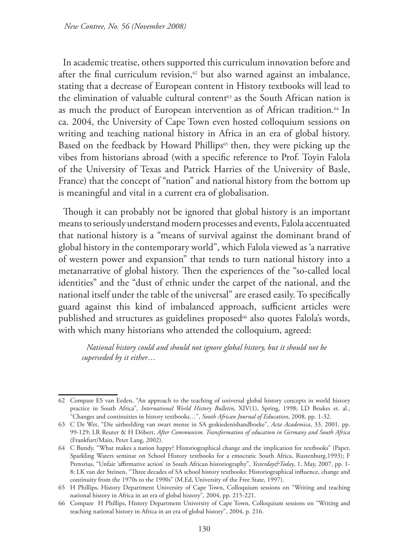In academic treatise, others supported this curriculum innovation before and after the final curriculum revision, $62$  but also warned against an imbalance, stating that a decrease of European content in History textbooks will lead to the elimination of valuable cultural content<sup>63</sup> as the South African nation is as much the product of European intervention as of African tradition.<sup>64</sup> In ca. 2004, the University of Cape Town even hosted colloquium sessions on writing and teaching national history in Africa in an era of global history. Based on the feedback by Howard Phillips<sup>65</sup> then, they were picking up the vibes from historians abroad (with a specific reference to Prof. Toyin Falola of the University of Texas and Patrick Harries of the University of Basle, France) that the concept of "nation" and national history from the bottom up is meaningful and vital in a current era of globalisation.

Though it can probably not be ignored that global history is an important means to seriously understand modern processes and events, Falola accentuated that national history is a "means of survival against the dominant brand of global history in the contemporary world", which Falola viewed as 'a narrative of western power and expansion" that tends to turn national history into a metanarrative of global history. Then the experiences of the "so-called local identities" and the "dust of ethnic under the carpet of the national, and the national itself under the table of the universal" are erased easily. To specifically guard against this kind of imbalanced approach, sufficient articles were published and structures as guidelines proposed<sup>66</sup> also quotes Falola's words, with which many historians who attended the colloquium, agreed:

*National history could and should not ignore global history, but it should not be superseded by it either*…

<sup>62</sup> Compare ES van Eeden, "An approach to the teaching of universal global history concepts in world history practice in South Africa", *International World History Bulletin,* XIV(1), Spring, 1998; LD Beukes et. al., "Changes and continuities in history textbooks…", *South African Journal of Education*, 2008, pp. 1-32.

<sup>63</sup> C De Wet, "Die uitbeelding van swart mense in SA geskiedenishandboeke", *Acta Academica*, 33, 2001, pp. 99-129; LR Reuter & H Döbert, *After Communism. Transformation of education in Germany and South Africa* (Frankfurt/Main, Peter Lang, 2002).

<sup>64</sup> C Bundy, "What makes a nation happy? Historiographical change and the implication for textbooks" (Paper, Sparkling Waters seminar on School History textbooks for a emocratic South Africa, Rustenburg,1993); F Pretorius, "Unfair 'affirmative action' in South African historiography", *Yesterday&Today*, 1, May, 2007, pp. 1- 8; LK van der Steinen, "Three decades of SA school history textbooks: Historiographical influence, change and continuity from the 1970s to the 1990s" (M.Ed, University of the Free State, 1997).

<sup>65</sup> H Phillips, History Department University of Cape Town, Colloquium sessions on "Writing and teaching national history in Africa in an era of global history", 2004, pp. 215-221.

<sup>66</sup> Compare H Phillips, History Department University of Cape Town, Colloquium sessions on "Writing and teaching national history in Africa in an era of global history", 2004, p. 216.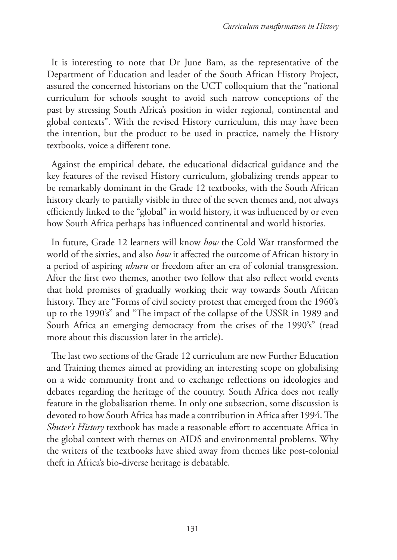It is interesting to note that Dr June Bam, as the representative of the Department of Education and leader of the South African History Project, assured the concerned historians on the UCT colloquium that the "national curriculum for schools sought to avoid such narrow conceptions of the past by stressing South Africa's position in wider regional, continental and global contexts". With the revised History curriculum, this may have been the intention, but the product to be used in practice, namely the History textbooks, voice a different tone.

Against the empirical debate, the educational didactical guidance and the key features of the revised History curriculum, globalizing trends appear to be remarkably dominant in the Grade 12 textbooks, with the South African history clearly to partially visible in three of the seven themes and, not always efficiently linked to the "global" in world history, it was influenced by or even how South Africa perhaps has influenced continental and world histories.

In future, Grade 12 learners will know *how* the Cold War transformed the world of the sixties, and also *how* it affected the outcome of African history in a period of aspiring *uhuru* or freedom after an era of colonial transgression. After the first two themes, another two follow that also reflect world events that hold promises of gradually working their way towards South African history. They are "Forms of civil society protest that emerged from the 1960's up to the 1990's" and "The impact of the collapse of the USSR in 1989 and South Africa an emerging democracy from the crises of the 1990's" (read more about this discussion later in the article).

The last two sections of the Grade 12 curriculum are new Further Education and Training themes aimed at providing an interesting scope on globalising on a wide community front and to exchange reflections on ideologies and debates regarding the heritage of the country. South Africa does not really feature in the globalisation theme. In only one subsection, some discussion is devoted to how South Africa has made a contribution in Africa after 1994. The *Shuter's History* textbook has made a reasonable effort to accentuate Africa in the global context with themes on AIDS and environmental problems. Why the writers of the textbooks have shied away from themes like post-colonial theft in Africa's bio-diverse heritage is debatable.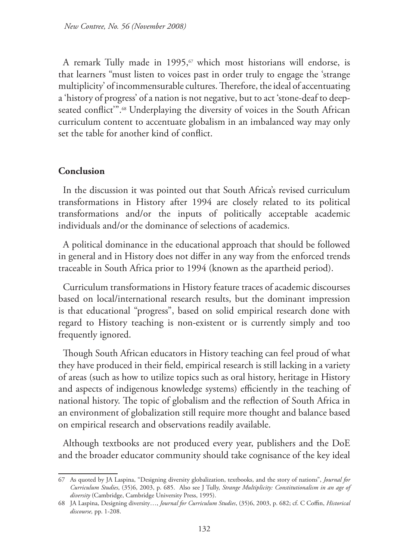A remark Tully made in 1995, $\sigma$  which most historians will endorse, is that learners "must listen to voices past in order truly to engage the 'strange multiplicity' of incommensurable cultures. Therefore, the ideal of accentuating a 'history of progress' of a nation is not negative, but to act 'stone-deaf to deepseated conflict".<sup>68</sup> Underplaying the diversity of voices in the South African curriculum content to accentuate globalism in an imbalanced way may only set the table for another kind of conflict.

#### **Conclusion**

In the discussion it was pointed out that South Africa's revised curriculum transformations in History after 1994 are closely related to its political transformations and/or the inputs of politically acceptable academic individuals and/or the dominance of selections of academics.

A political dominance in the educational approach that should be followed in general and in History does not differ in any way from the enforced trends traceable in South Africa prior to 1994 (known as the apartheid period).

Curriculum transformations in History feature traces of academic discourses based on local/international research results, but the dominant impression is that educational "progress", based on solid empirical research done with regard to History teaching is non-existent or is currently simply and too frequently ignored.

Though South African educators in History teaching can feel proud of what they have produced in their field, empirical research is still lacking in a variety of areas (such as how to utilize topics such as oral history, heritage in History and aspects of indigenous knowledge systems) efficiently in the teaching of national history. The topic of globalism and the reflection of South Africa in an environment of globalization still require more thought and balance based on empirical research and observations readily available.

Although textbooks are not produced every year, publishers and the DoE and the broader educator community should take cognisance of the key ideal

<sup>67</sup> As quoted by JA Laspina, "Designing diversity globalization, textbooks, and the story of nations", *Journal for Curriculum Studies*, (35)6, 2003, p. 685. Also see J Tully, *Strange Multiplicity: Constitutionalism in an age of diversity* (Cambridge, Cambridge University Press, 1995).

<sup>68</sup> JA Laspina, Designing diversity…, *Journal for Curriculum Studies*, (35)6, 2003, p. 682; cf. C Coffin, *Historical discourse,* pp. 1-208.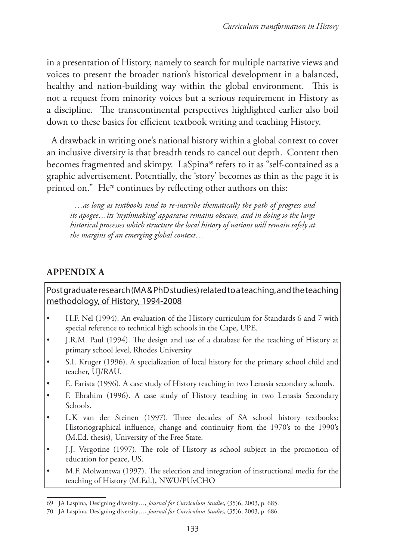in a presentation of History, namely to search for multiple narrative views and voices to present the broader nation's historical development in a balanced, healthy and nation-building way within the global environment. This is not a request from minority voices but a serious requirement in History as a discipline. The transcontinental perspectives highlighted earlier also boil down to these basics for efficient textbook writing and teaching History.

A drawback in writing one's national history within a global context to cover an inclusive diversity is that breadth tends to cancel out depth. Content then becomes fragmented and skimpy. LaSpina<sup>69</sup> refers to it as "self-contained as a graphic advertisement. Potentially, the 'story' becomes as thin as the page it is printed on." He<sup>70</sup> continues by reflecting other authors on this:

*…as long as textbooks tend to re-inscribe thematically the path of progress and its apogee…its 'mythmaking' apparatus remains obscure, and in doing so the large historical processes which structure the local history of nations will remain safely at the margins of an emerging global context…* 

# **APPENDIX A**

Post graduate research (MA & PhD studies) related to a teaching, and the teaching methodology, of History, 1994-2008

- H.F. Nel (1994). An evaluation of the History curriculum for Standards 6 and 7 with special reference to technical high schools in the Cape, UPE.
- J.R.M. Paul (1994). The design and use of a database for the teaching of History at primary school level, Rhodes University
- S.I. Kruger (1996). A specialization of local history for the primary school child and teacher, UJ/RAU.
- E. Farista (1996). A case study of History teaching in two Lenasia secondary schools.
- F. Ebrahim (1996). A case study of History teaching in two Lenasia Secondary Schools.
- L.K van der Steinen (1997). Three decades of SA school history textbooks: Historiographical influence, change and continuity from the 1970's to the 1990's (M.Ed. thesis), University of the Free State.
- J.J. Vergotine (1997). The role of History as school subject in the promotion of education for peace, US.
- M.F. Molwantwa (1997). The selection and integration of instructional media for the teaching of History (M.Ed.), NWU/PUvCHO

<sup>69</sup> JA Laspina, Designing diversity…, *Journal for Curriculum Studies*, (35)6, 2003, p. 685.

<sup>70</sup> JA Laspina, Designing diversity…, *Journal for Curriculum Studies*, (35)6, 2003, p. 686.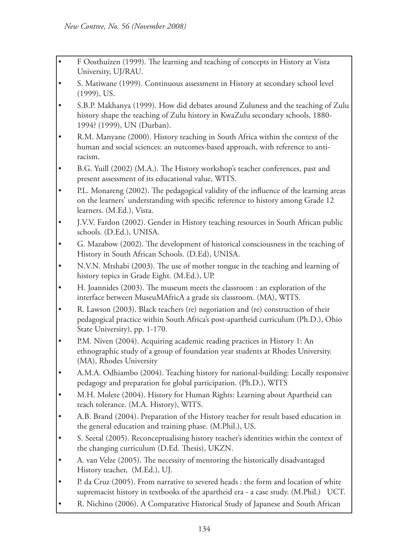- F Oosthuizen (1999). The learning and teaching of concepts in History at Vista University, UJ/RAU.
- S. Matiwane (1999). Continuous assessment in History at secondary school level (1999), US.
- S.B.P. Makhanya (1999). How did debates around Zuluness and the teaching of Zulu history shape the teaching of Zulu history in KwaZulu secondary schools, 1880- 1994? (1999), UN (Durban).
- R.M. Manyane (2000). History teaching in South Africa within the context of the human and social sciences: an outcomes-based approach, with reference to antiracism.
- B.G. Yuill (2002) (M.A.). The History workshop's teacher conferences, past and present assessment of its educational value, WITS.
- P.L. Monareng (2002). The pedagogical validity of the influence of the learning areas on the learners' understanding with specific reference to history among Grade 12 learners. (M.Ed.), Vista.
- J.V.V. Fardon (2002). Gender in History teaching resources in South African public schools. (D.Ed.), UNISA.
- G. Mazabow (2002). The development of historical consciousness in the teaching of History in South African Schools. (D.Ed), UNISA.
- N.V.N. Mtshabi (2003). The use of mother tongue in the teaching and learning of history topics in Grade Eight. (M.Ed.), UP.
- H. Joannides (2003). The museum meets the classroom : an exploration of the interface between MuseuMAfricA a grade six classroom. (MA), WITS.
- R. Lawson (2003). Black teachers (re) negotiation and (re) construction of their pedagogical practice within South Africa's post-apartheid curriculum (Ph.D.), Ohio State University), pp. 1-170.
- P.M. Niven (2004). Acquiring academic reading practices in History 1: An ethnographic study of a group of foundation year students at Rhodes University. (MA), Rhodes University
- A.M.A. Odhiambo (2004). Teaching history for national-building: Locally responsive pedagogy and preparation for global participation. (Ph.D.), WITS
- M.H. Molete (2004). History for Human Rights: Learning about Apartheid can teach tolerance. (M.A. History), WITS.
- A.B. Brand (2004). Preparation of the History teacher for result based education in the general education and training phase. (M.Phil.), US.
- S. Seetal (2005). Reconceptualising history teacher's identities within the context of the changing curriculum (D.Ed. Thesis), UKZN.
- A. van Velze (2005). The necessity of mentoring the historically disadvantaged History teacher, (M.Ed.), UJ.
- P. da Cruz (2005). From narrative to severed heads : the form and location of white supremacist history in textbooks of the apartheid era - a case study. (M.Phil.) UCT.
- R. Nichino (2006). A Comparative Historical Study of Japanese and South African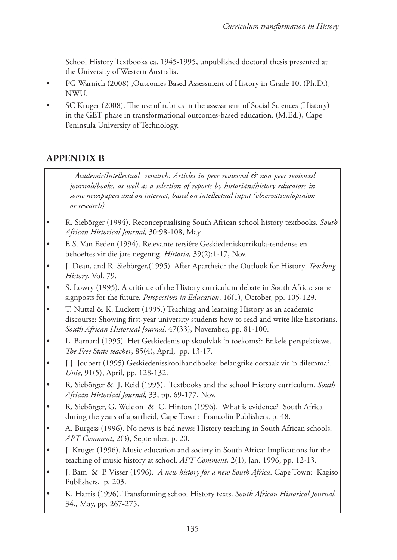School History Textbooks ca. 1945-1995, unpublished doctoral thesis presented at the University of Western Australia.

- PG Warnich (2008) ,Outcomes Based Assessment of History in Grade 10. (Ph.D.), NWU.
- SC Kruger (2008). The use of rubrics in the assessment of Social Sciences (History) in the GET phase in transformational outcomes-based education. (M.Ed.), Cape Peninsula University of Technology.

# **APPENDIX B**

*Academic/Intellectual research: Articles in peer reviewed & non peer reviewed journals/books, as well as a selection of reports by historians/history educators in some newspapers and on internet, based on intellectual input (observation/opinion or research)*

- R. Siebörger (1994). Reconceptualising South African school history textbooks. *South African Historical Journal,* 30:98-108, May.
- E.S. Van Eeden (1994). Relevante tersiêre Geskiedeniskurrikula-tendense en behoeftes vir die jare negentig. *Historia,* 39(2):1-17, Nov.
- J. Dean, and R. Siebörger,(1995). After Apartheid: the Outlook for History. *Teaching History*, Vol. 79.
- S. Lowry (1995). A critique of the History curriculum debate in South Africa: some signposts for the future. *Perspectives in Education*, 16(1), October, pp. 105-129.
- T. Nuttal & K. Luckett (1995.) Teaching and learning History as an academic discourse: Showing first-year university students how to read and write like historians. *South African Historical Journal*, 47(33), November, pp. 81-100.
- L. Barnard (1995) Het Geskiedenis op skoolvlak 'n toekoms?: Enkele perspektiewe. *The Free State teacher*, 85(4), April, pp. 13-17.
- J.J. Joubert (1995) Geskiedenisskoolhandboeke: belangrike oorsaak vir 'n dilemma?. *Unie*, 91(5), April, pp. 128-132.
- R. Siebörger & J. Reid (1995). Textbooks and the school History curriculum. *South African Historical Journal,* 33, pp. 69-177, Nov.
- R. Siebörger, G. Weldon & C. Hinton (1996). What is evidence? South Africa during the years of apartheid, Cape Town: Francolin Publishers, p. 48.
- A. Burgess (1996). No news is bad news: History teaching in South African schools. *APT Comment*, 2(3), September, p. 20.
- J. Kruger (1996). Music education and society in South Africa: Implications for the teaching of music history at school. *APT Comment*, 2(1), Jan. 1996, pp. 12-13.
- J. Bam & P. Visser (1996). *A new history for a new South Africa*. Cape Town: Kagiso Publishers, p. 203.
- K. Harris (1996). Transforming school History texts. *South African Historical Journal,*  34,*,* May, pp. 267-275.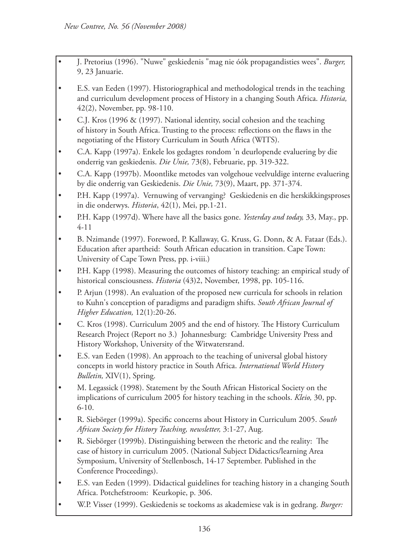- J. Pretorius (1996). "Nuwe" geskiedenis "mag nie óók propagandisties wees". *Burger,*  9, 23 Januarie.
- E.S. van Eeden (1997). Historiographical and methodological trends in the teaching and curriculum development process of History in a changing South Africa. *Historia,*  42(2), November, pp. 98-110.
- C.J. Kros (1996 & (1997). National identity, social cohesion and the teaching of history in South Africa. Trusting to the process: reflections on the flaws in the negotiating of the History Curriculum in South Africa (WITS).
- C.A. Kapp (1997a). Enkele los gedagtes rondom 'n deurlopende evaluering by die onderrig van geskiedenis. *Die Unie,* 73(8), Februarie, pp. 319-322.
- C.A. Kapp (1997b). Moontlike metodes van volgehoue veelvuldige interne evaluering by die onderrig van Geskiedenis. *Die Unie,* 73(9), Maart, pp. 371-374.
- P.H. Kapp (1997a). Vernuwing of vervanging? Geskiedenis en die herskikkingsproses in die onderwys. *Historia*, 42(1), Mei, pp.1-21.
- P.H. Kapp (1997d). Where have all the basics gone. *Yesterday and today,* 33, May., pp. 4-11
- B. Nzimande (1997). Foreword, P. Kallaway, G. Kruss, G. Donn, & A. Fataar (Eds.). Education after apartheid: South African education in transition. Cape Town: University of Cape Town Press, pp. i-viii.)
- P.H. Kapp (1998). Measuring the outcomes of history teaching: an empirical study of historical consciousness. *Historia* (43)2, November, 1998, pp. 105-116.
- P. Arjun (1998). An evaluation of the proposed new curricula for schools in relation to Kuhn's conception of paradigms and paradigm shifts. *South African Journal of Higher Education,* 12(1):20-26.
- C. Kros (1998). Curriculum 2005 and the end of history. The History Curriculum Research Project (Report no 3.) Johannesburg: Cambridge University Press and History Workshop, University of the Witwatersrand.
- E.S. van Eeden (1998). An approach to the teaching of universal global history concepts in world history practice in South Africa. *International World History Bulletin,* XIV(1), Spring.
- M. Legassick (1998). Statement by the South African Historical Society on the implications of curriculum 2005 for history teaching in the schools. *Kleio,* 30, pp. 6-10.
- R. Siebörger (1999a). Specific concerns about History in Curriculum 2005. *South African Society for History Teaching, newsletter,* 3:1-27, Aug.
- R. Siebörger (1999b). Distinguishing between the rhetoric and the reality: The case of history in curriculum 2005. (National Subject Didactics/learning Area Symposium, University of Stellenbosch, 14-17 September. Published in the Conference Proceedings).
- E.S. van Eeden (1999). Didactical guidelines for teaching history in a changing South Africa. Potchefstroom: Keurkopie, p. 306.
- W.P. Visser (1999). Geskiedenis se toekoms as akademiese vak is in gedrang. *Burger:*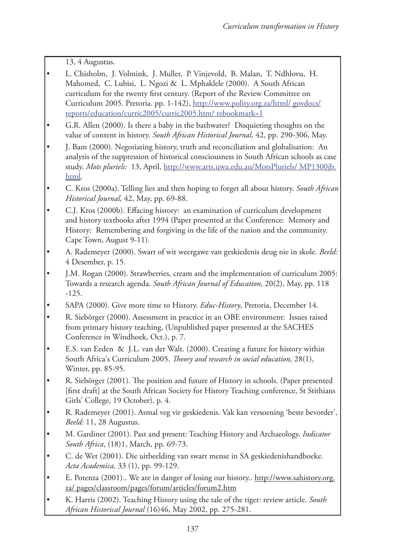13, 4 Augustus.

- L. Chisholm, J. Volmink, J. Muller, P. Vinjevold, B. Malan, T. Ndhlovu, H. Mahomed, C. Lubisi, L. Ngozi & L. Mphaklele (2000). A South African curriculum for the twenty first century. (Report of the Review Committee on Curriculum 2005. Pretoria. pp. 1-142), http://www.polity.org.za/html/ govdocs/ reports/education/curric2005/curric2005.htm? rebookmark=1
- G.R. Allen (2000). Is there a baby in the bathwater? Disquieting thoughts on the value of content in history. *South African Historical Journal,* 42, pp. 290-306, May.
- J. Bam (2000). Negotiating history, truth and reconciliation and globalisation: An analysis of the suppression of historical consciousness in South African schools as case study. *Mots pluriels:* 13, April, http://www.arts.uwa.edu.au/MotsPluriels/ MP1300jb. html.
- C. Kros (2000a). Telling lies and then hoping to forget all about history. *South African Historical Journal,* 42, May, pp. 69-88.
- C.J. Kros (2000b). Effacing history: an examination of curriculum development and history textbooks after 1994 (Paper presented at the Conference: Memory and History: Remembering and forgiving in the life of the nation and the community. Cape Town, August 9-11).
- A. Rademeyer (2000). Swart of wit weergawe van geskiedenis deug nie in skole. *Beeld:*  4 Desember, p. 15.
- J.M. Rogan (2000). Strawberries, cream and the implementation of curriculum 2005: Towards a research agenda. *South African Journal of Education*, 20(2), May, pp. 118 -125.
- SAPA (2000). Give more time to History. *Educ-History*, Pretoria, December 14.
- R. Siebörger (2000). Assessment in practice in an OBE environment: Issues raised from primary history teaching. (Unpublished paper presented at the SACHES Conference in Windhoek, Oct.), p. 7.
- E.S. van Eeden & J.L. van der Walt. (2000). Creating a future for history within South Africa's Curriculum 2005. *Theory and research in social education,* 28(1), Winter, pp. 85-95.
- R. Siebörger (2001). The position and future of History in schools. (Paper presented [first draft] at the South African Society for History Teaching conference, St Stithians Girls' College, 19 October), p. 4.
- R. Rademeyer (2001). Asmal veg vir geskiedenis. Vak kan versoening 'beste bevorder', *Beeld:* 11, 28 Augustus.
- M. Gardiner (2001). Past and present: Teaching History and Archaeology. *Indicator South Africa*, (18)1, March, pp. 69-73.
- C. de Wet (2001). Die uitbeelding van swart mense in SA geskiedenishandboeke. *Acta Academica,* 33 (1), pp. 99-129.
- E. Potenza (2001).. We are in danger of losing our history.. http://www.sahistory.org. za/ pages/classroom/pages/forum/articles/forum2.htm
- K. Harris (2002). Teaching History using the tale of the tiger: review article. *South African Historical Journal* (16)46, May 2002, pp. 275-281.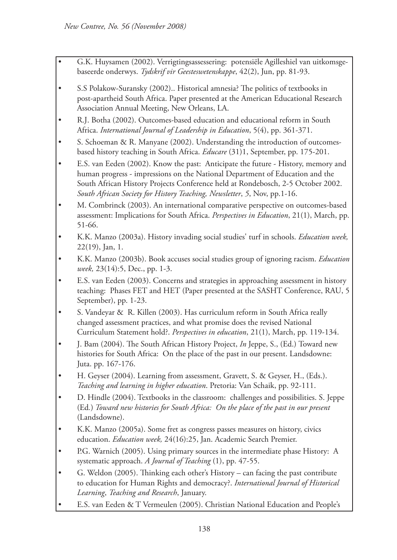- G.K. Huysamen (2002). Verrigtingsassessering: potensiële Agilleshiel van uitkomsgebaseerde onderwys. *Tydskrif vir Geesteswetenskappe*, 42(2), Jun, pp. 81-93.
- S.S Polakow-Suransky (2002).. Historical amnesia? The politics of textbooks in post-apartheid South Africa. Paper presented at the American Educational Research Association Annual Meeting, New Orleans, LA.
- R.J. Botha (2002). Outcomes-based education and educational reform in South Africa. *International Journal of Leadership in Education*, 5(4), pp. 361-371.
- S. Schoeman & R. Manyane (2002). Understanding the introduction of outcomesbased history teaching in South Africa. *Educare* (31)1, September, pp. 175-201.
- E.S. van Eeden (2002). Know the past: Anticipate the future History, memory and human progress - impressions on the National Department of Education and the South African History Projects Conference held at Rondebosch, 2-5 October 2002. *South African Society for History Teaching, Newsletter*, *5*, Nov, pp.1-16.
- M. Combrinck (2003). An international comparative perspective on outcomes-based assessment: Implications for South Africa. *Perspectives in Education*, 21(1), March, pp. 51-66.
- K.K. Manzo (2003a). History invading social studies' turf in schools. *Education week,*  22(19), Jan, 1.
- K.K. Manzo (2003b). Book accuses social studies group of ignoring racism. *Education week,* 23(14):5, Dec., pp. 1-3.
- E.S. van Eeden (2003). Concerns and strategies in approaching assessment in history teaching: Phases FET and HET (Paper presented at the SASHT Conference, RAU, 5 September), pp. 1-23.
- S. Vandeyar & R. Killen (2003). Has curriculum reform in South Africa really changed assessment practices, and what promise does the revised National Curriculum Statement hold?. *Perspectives in education*, 21(1), March, pp. 119-134.
- J. Bam (2004). The South African History Project, *In* Jeppe, S., (Ed.) Toward new histories for South Africa: On the place of the past in our present. Landsdowne: Juta. pp. 167-176.
- H. Geyser (2004). Learning from assessment, Gravett, S. & Geyser, H., (Eds.). *Teaching and learning in higher education*. Pretoria: Van Schaik, pp. 92-111.
- D. Hindle (2004). Textbooks in the classroom: challenges and possibilities. S. Jeppe (Ed*.*) *Toward new histories for South Africa: On the place of the past in our present* (Landsdowne).
- K.K. Manzo (2005a). Some fret as congress passes measures on history, civics education. *Education week,* 24(16):25, Jan. Academic Search Premier.
- P.G. Warnich (2005). Using primary sources in the intermediate phase History: A systematic approach. *A Journal of Teaching* (1), pp. 47-55.
- G. Weldon (2005). Thinking each other's History can facing the past contribute to education for Human Rights and democracy?. *International Journal of Historical Learning*, *Teaching and Research*, January.
- E.S. van Eeden & T Vermeulen (2005). Christian National Education and People's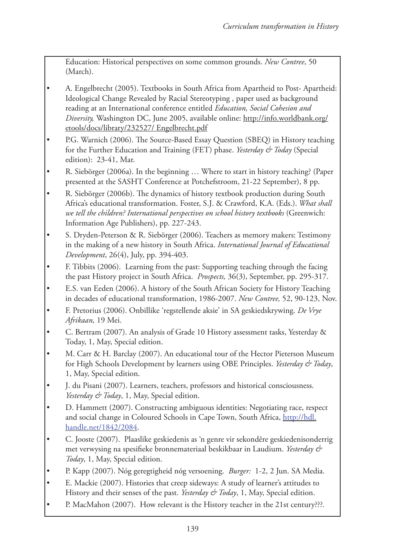Education: Historical perspectives on some common grounds. *New Contree*, 50 (March).

- A. Engelbrecht (2005). Textbooks in South Africa from Apartheid to Post- Apartheid: Ideological Change Revealed by Racial Stereotyping , paper used as background reading at an International conference entitled *Education, Social Cohesion and Diversity,* Washington DC, June 2005, available online: http://info.worldbank.org/ etools/docs/library/232527/ Engelbrecht.pdf
- P.G. Warnich (2006). The Source-Based Essay Question (SBEQ) in History teaching for the Further Education and Training (FET) phase. *Yesterday & Today* (Special edition): 23-41, Mar.
- R. Siebörger (2006a). In the beginning … Where to start in history teaching? (Paper presented at the SASHT Conference at Potchefstroom, 21-22 September), 8 pp.
- R. Siebörger (2006b). The dynamics of history textbook production during South Africa's educational transformation. Foster, S.J. & Crawford, K.A. (Eds.). *What shall we tell the children? International perspectives on school history textbooks* (Greenwich: Information Age Publishers), pp. 227-243.
- S. Dryden-Peterson & R. Siebörger (2006). Teachers as memory makers: Testimony in the making of a new history in South Africa. *International Journal of Educational Development*, 26(4), July, pp. 394-403.
- F. Tibbits (2006). Learning from the past: Supporting teaching through the facing the past History project in South Africa. *Prospects,* 36(3), September, pp. 295-317.
- E.S. van Eeden (2006). A history of the South African Society for History Teaching in decades of educational transformation, 1986-2007. *New Contree,* 52, 90-123, Nov.
- F. Pretorius (2006). Onbillike 'regstellende aksie' in SA geskiedskrywing. *De Vrye Afrikaan,* 19 Mei.
- C. Bertram (2007). An analysis of Grade 10 History assessment tasks, Yesterday & Today, 1, May, Special edition.
- M. Carr & H. Barclay (2007). An educational tour of the Hector Pieterson Museum for High Schools Development by learners using OBE Principles. *Yesterday & Today*, 1, May, Special edition.
- J. du Pisani (2007). Learners, teachers, professors and historical consciousness. *Yesterday & Today*, 1, May, Special edition.
- D. Hammett (2007). Constructing ambiguous identities: Negotiating race, respect and social change in Coloured Schools in Cape Town, South Africa, http://hdl. handle.net/1842/2084.
- C. Jooste (2007). Plaaslike geskiedenis as 'n genre vir sekondêre geskiedenisonderrig met verwysing na spesifieke bronnemateriaal beskikbaar in Laudium. *Yesterday & Today*, 1, May, Special edition.
- P. Kapp (2007). Nóg geregtigheid nóg versoening. *Burger:* 1-2, 2 Jun. SA Media.
- E. Mackie (2007). Histories that creep sideways: A study of learner's attitudes to History and their senses of the past. *Yesterday & Today*, 1, May, Special edition.
- P. MacMahon (2007). How relevant is the History teacher in the 21st century???*.*